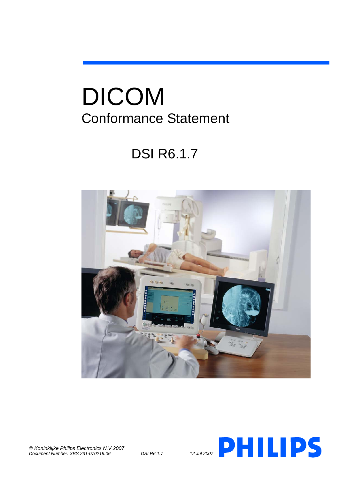# DICOM Conformance Statement

# DSI R6.1.7





*© Koninklijke Philips Electronics N.V.2007*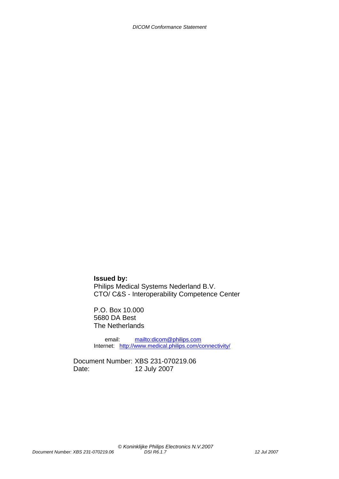**Issued by:** Philips Medical Systems Nederland B.V. CTO/ C&S - Interoperability Competence Center

P.O. Box 10.000 5680 DA Best The Netherlands

 email: mailto:dicom@philips.com Internet: http://www.medical.philips.com/connectivity/

Document Number: XBS 231-070219.06 Date: 12 July 2007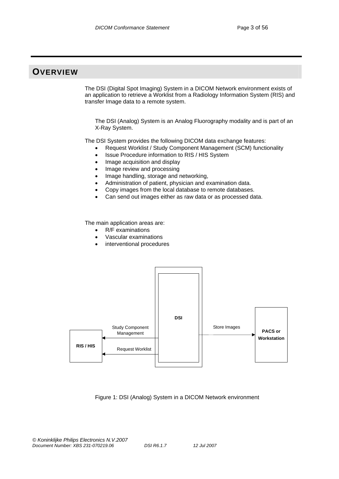# **OVERVIEW**

The DSI (Digital Spot Imaging) System in a DICOM Network environment exists of an application to retrieve a Worklist from a Radiology Information System (RIS) and transfer Image data to a remote system.

The DSI (Analog) System is an Analog Fluorography modality and is part of an X-Ray System.

The DSI System provides the following DICOM data exchange features:

- Request Worklist / Study Component Management (SCM) functionality
- Issue Procedure information to RIS / HIS System
- Image acquisition and display
- Image review and processing
- Image handling, storage and networking,
- Administration of patient, physician and examination data.
- Copy images from the local database to remote databases.
- Can send out images either as raw data or as processed data.

The main application areas are:

- R/F examinations
- Vascular examinations
- interventional procedures



#### Figure 1: DSI (Analog) System in a DICOM Network environment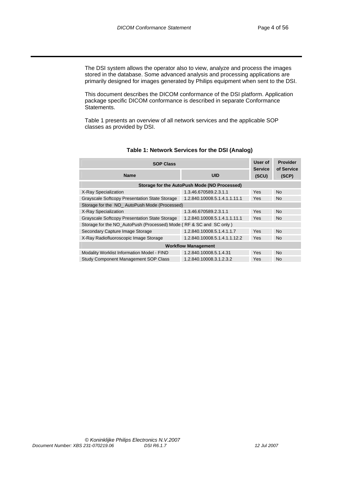The DSI system allows the operator also to view, analyze and process the images stored in the database. Some advanced analysis and processing applications are primarily designed for images generated by Philips equipment when sent to the DSI.

This document describes the DICOM conformance of the DSI platform. Application package specific DICOM conformance is described in separate Conformance Statements.

Table 1 presents an overview of all network services and the applicable SOP classes as provided by DSI.

| <b>SOP Class</b>                                                   |                                              |                         | <b>Provider</b>     |  |
|--------------------------------------------------------------------|----------------------------------------------|-------------------------|---------------------|--|
| <b>Name</b>                                                        | UID                                          | <b>Service</b><br>(SCU) | of Service<br>(SCP) |  |
|                                                                    | Storage for the AutoPush Mode (NO Processed) |                         |                     |  |
| X-Ray Specialization                                               | 1.3.46.670589.2.3.1.1                        | Yes                     | No.                 |  |
| Grayscale Softcopy Presentation State Storage                      | 1.2.840.10008.5.1.4.1.1.11.1                 | Yes                     | No.                 |  |
| Storage for the NO AutoPush Mode (Processed)                       |                                              |                         |                     |  |
| X-Ray Specialization                                               | 1.3.46.670589.2.3.1.1                        | Yes                     | No.                 |  |
| Grayscale Softcopy Presentation State Storage                      | 1.2.840.10008.5.1.4.1.1.11.1                 | Yes                     | No.                 |  |
| Storage for the NO AutoPush (Processed) Mode (RF & SC and SC only) |                                              |                         |                     |  |
| Secondary Capture Image Storage                                    | 1.2.840.10008.5.1.4.1.1.7                    | Yes                     | <b>No</b>           |  |
| X-Ray Radiofluoroscopic Image Storage                              | 1.2.840.10008.5.1.4.1.1.12.2                 | Yes                     | No.                 |  |
| <b>Workflow Management</b>                                         |                                              |                         |                     |  |
| Modality Worklist Information Model - FIND                         | 1.2.840.10008.5.1.4.31                       | Yes                     | <b>No</b>           |  |
| <b>Study Component Management SOP Class</b>                        | 1.2.840.10008.3.1.2.3.2                      | Yes                     | No.                 |  |

#### **Table 1: Network Services for the DSI (Analog)**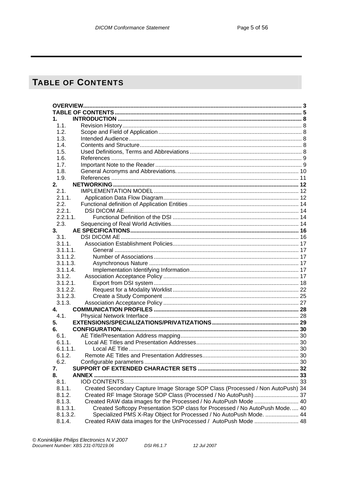# TABLE OF CONTENTS

| 1.       |                                                                                 |  |
|----------|---------------------------------------------------------------------------------|--|
| 1.1.     |                                                                                 |  |
| 1.2.     |                                                                                 |  |
| 1.3.     |                                                                                 |  |
| 1.4.     |                                                                                 |  |
| 1.5.     |                                                                                 |  |
| 1.6.     |                                                                                 |  |
| 1.7.     |                                                                                 |  |
| 1.8.     |                                                                                 |  |
| 1.9.     |                                                                                 |  |
| 2.       |                                                                                 |  |
| 2.1.     |                                                                                 |  |
| 2.1.1.   |                                                                                 |  |
| 2.2.     |                                                                                 |  |
| 2.2.1.   |                                                                                 |  |
| 2.2.1.1. |                                                                                 |  |
| 2.3.     |                                                                                 |  |
| 3.       |                                                                                 |  |
| 3.1.     |                                                                                 |  |
| 3.1.1.   |                                                                                 |  |
| 3.1.1.1. |                                                                                 |  |
| 3.1.1.2. |                                                                                 |  |
| 3.1.1.3. |                                                                                 |  |
| 3.1.1.4  |                                                                                 |  |
| 3.1.2.   |                                                                                 |  |
| 3.1.2.1. |                                                                                 |  |
| 3.1.2.2. |                                                                                 |  |
| 3.1.2.3. |                                                                                 |  |
| 3.1.3.   |                                                                                 |  |
| 4.       |                                                                                 |  |
| 4.1.     |                                                                                 |  |
| 5.       |                                                                                 |  |
| 6.       |                                                                                 |  |
| 6.1.     |                                                                                 |  |
| 6.1.1.   |                                                                                 |  |
| 6.1.1.1. |                                                                                 |  |
| 6.1.2.   |                                                                                 |  |
| 6.2.     |                                                                                 |  |
| 7.       |                                                                                 |  |
| 8.       |                                                                                 |  |
| 8.1.     |                                                                                 |  |
| 8.1.1.   | Created Secondary Capture Image Storage SOP Class (Processed / Non AutoPush) 34 |  |
| 8.1.2.   | Created RF Image Storage SOP Class (Processed / No AutoPush)  37                |  |
| 8.1.3.   | Created RAW data images for the Processed / No AutoPush Mode  40                |  |
| 8.1.3.1. | Created Softcopy Presentation SOP class for Processed / No AutoPush Mode 40     |  |
| 8.1.3.2. | Specialized PMS X-Ray Object for Processed / No AutoPush Mode.  44              |  |
| 8.1.4.   | Created RAW data images for the UnProcessed / AutoPush Mode  48                 |  |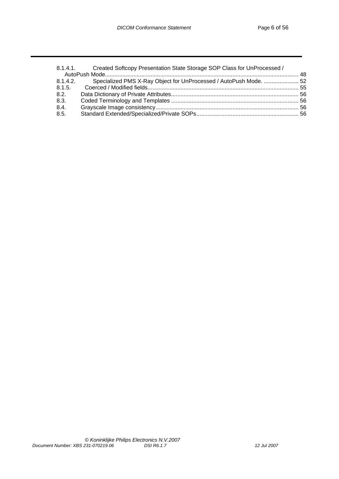| 8.1.4.1. Created Softcopy Presentation State Storage SOP Class for UnProcessed / |
|----------------------------------------------------------------------------------|
|                                                                                  |
| 8.1.4.2. Specialized PMS X-Ray Object for UnProcessed / AutoPush Mode.  52       |
|                                                                                  |
|                                                                                  |
|                                                                                  |
|                                                                                  |
|                                                                                  |
|                                                                                  |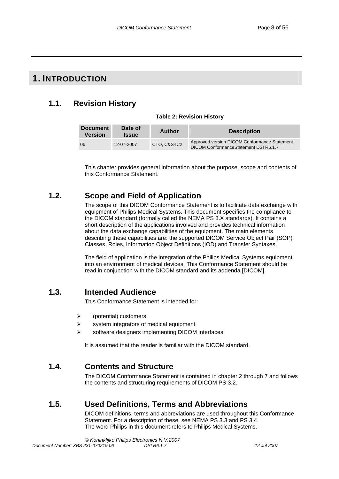# **1. INTRODUCTION**

# **1.1. Revision History**

#### **Table 2: Revision History**

| <b>Document</b><br><b>Version</b> | Date of<br><b>Issue</b> | <b>Author</b> | <b>Description</b>                                                                     |
|-----------------------------------|-------------------------|---------------|----------------------------------------------------------------------------------------|
| 06                                | 12-07-2007              | CTO, C&S-IC2  | Approved version DICOM Conformance Statement<br>DICOM Conformance Statement DSI R6.1.7 |

This chapter provides general information about the purpose, scope and contents of this Conformance Statement.

# **1.2. Scope and Field of Application**

The scope of this DICOM Conformance Statement is to facilitate data exchange with equipment of Philips Medical Systems. This document specifies the compliance to the DICOM standard (formally called the NEMA PS 3.X standards). It contains a short description of the applications involved and provides technical information about the data exchange capabilities of the equipment. The main elements describing these capabilities are: the supported DICOM Service Object Pair (SOP) Classes, Roles, Information Object Definitions (IOD) and Transfer Syntaxes.

The field of application is the integration of the Philips Medical Systems equipment into an environment of medical devices. This Conformance Statement should be read in conjunction with the DICOM standard and its addenda [DICOM].

# **1.3. Intended Audience**

This Conformance Statement is intended for:

- $\triangleright$  (potential) customers
- $\triangleright$  system integrators of medical equipment
- software designers implementing DICOM interfaces

It is assumed that the reader is familiar with the DICOM standard.

# **1.4. Contents and Structure**

The DICOM Conformance Statement is contained in chapter 2 through 7 and follows the contents and structuring requirements of DICOM PS 3.2.

# **1.5. Used Definitions, Terms and Abbreviations**

DICOM definitions, terms and abbreviations are used throughout this Conformance Statement. For a description of these, see NEMA PS 3.3 and PS 3.4. The word Philips in this document refers to Philips Medical Systems.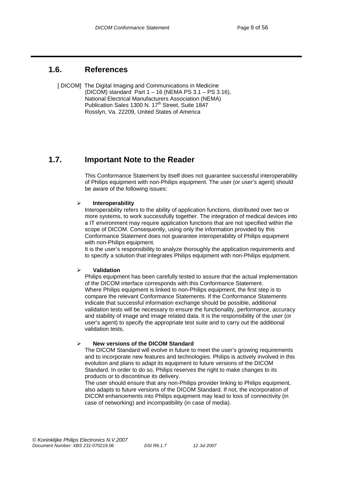# **1.6. References**

 [ DICOM] The Digital Imaging and Communications in Medicine (DICOM) standard Part 1 – 16 (NEMA PS 3.1 – PS 3.16), National Electrical Manufacturers Association (NEMA) Publication Sales 1300 N. 17<sup>th</sup> Street, Suite 1847 Rosslyn, Va. 22209, United States of America

# **1.7. Important Note to the Reader**

This Conformance Statement by itself does not guarantee successful interoperability of Philips equipment with non-Philips equipment. The user (or user's agent) should be aware of the following issues:

#### ¾ **Interoperability**

Interoperability refers to the ability of application functions, distributed over two or more systems, to work successfully together. The integration of medical devices into a IT environment may require application functions that are not specified within the scope of DICOM. Consequently, using only the information provided by this Conformance Statement does not guarantee interoperability of Philips equipment with non-Philips equipment.

It is the user's responsibility to analyze thoroughly the application requirements and to specify a solution that integrates Philips equipment with non-Philips equipment.

#### ¾ **Validation**

Philips equipment has been carefully tested to assure that the actual implementation of the DICOM interface corresponds with this Conformance Statement. Where Philips equipment is linked to non-Philips equipment, the first step is to compare the relevant Conformance Statements. If the Conformance Statements indicate that successful information exchange should be possible, additional validation tests will be necessary to ensure the functionality, performance, accuracy and stability of image and image related data. It is the responsibility of the user (or user's agent) to specify the appropriate test suite and to carry out the additional validation tests.

#### ¾ **New versions of the DICOM Standard**

The DICOM Standard will evolve in future to meet the user's growing requirements and to incorporate new features and technologies. Philips is actively involved in this evolution and plans to adapt its equipment to future versions of the DICOM Standard. In order to do so, Philips reserves the right to make changes to its products or to discontinue its delivery.

The user should ensure that any non-Philips provider linking to Philips equipment, also adapts to future versions of the DICOM Standard. If not, the incorporation of DICOM enhancements into Philips equipment may lead to loss of connectivity (in case of networking) and incompatibility (in case of media).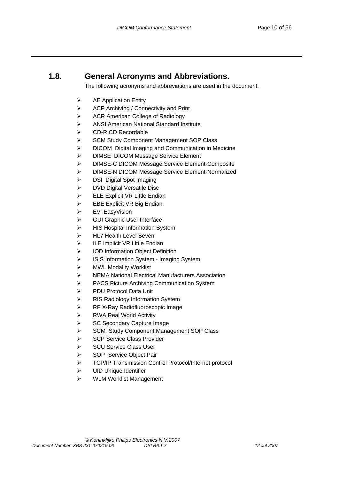# **1.8. General Acronyms and Abbreviations.**

The following acronyms and abbreviations are used in the document.

- $\triangleright$  AE Application Entity
- ACP Archiving / Connectivity and Print
- ACR American College of Radiology
- ANSI American National Standard Institute
- CD-R CD Recordable
- SCM Study Component Management SOP Class
- DICOM Digital Imaging and Communication in Medicine
- DIMSE DICOM Message Service Element
- DIMSE-C DICOM Message Service Element-Composite
- DIMSE-N DICOM Message Service Element-Normalized
- $\triangleright$  DSI Digital Spot Imaging
- DVD Digital Versatile Disc
- $\triangleright$  ELE Explicit VR Little Endian
- $\triangleright$  EBE Explicit VR Big Endian
- EV EasyVision
- GUI Graphic User Interface
- HIS Hospital Information System
- HL7 Health Level Seven
- $\triangleright$  ILE Implicit VR Little Endian
- IOD Information Object Definition
- ISIS Information System Imaging System
- MWL Modality Worklist
- NEMA National Electrical Manufacturers Association
- PACS Picture Archiving Communication System
- PDU Protocol Data Unit
- RIS Radiology Information System
- RF X-Ray Radiofluoroscopic Image
- RWA Real World Activity
- SC Secondary Capture Image
- SCM Study Component Management SOP Class
- SCP Service Class Provider
- SCU Service Class User
- SOP Service Object Pair
- TCP/IP Transmission Control Protocol/Internet protocol
- UID Unique Identifier
- WLM Worklist Management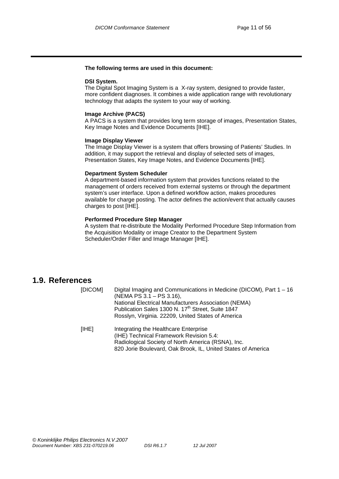#### **The following terms are used in this document:**

#### **DSI System.**

The Digital Spot Imaging System is a X-ray system, designed to provide faster, more confident diagnoses. It combines a wide application range with revolutionary technology that adapts the system to your way of working.

#### **Image Archive (PACS)**

A PACS is a system that provides long term storage of images, Presentation States, Key Image Notes and Evidence Documents [IHE].

#### **Image Display Viewer**

The Image Display Viewer is a system that offers browsing of Patients' Studies. In addition, it may support the retrieval and display of selected sets of images, Presentation States, Key Image Notes, and Evidence Documents [IHE].

#### **Department System Scheduler**

A department-based information system that provides functions related to the management of orders received from external systems or through the department system's user interface. Upon a defined workflow action, makes procedures available for charge posting. The actor defines the action/event that actually causes charges to post [IHE].

#### **Performed Procedure Step Manager**

A system that re-distribute the Modality Performed Procedure Step Information from the Acquisition Modality or image Creator to the Department System Scheduler/Order Filler and Image Manager [IHE].

### **1.9. References**

| [DICOM] | Digital Imaging and Communications in Medicine (DICOM), Part $1 - 16$<br>(NEMA PS 3.1 – PS 3.16),<br>National Electrical Manufacturers Association (NEMA)<br>Publication Sales 1300 N. 17 <sup>th</sup> Street, Suite 1847<br>Rosslyn, Virginia. 22209, United States of America |
|---------|----------------------------------------------------------------------------------------------------------------------------------------------------------------------------------------------------------------------------------------------------------------------------------|
| [IHE]   | Integrating the Healthcare Enterprise<br>(IHE) Technical Framework Revision 5.4:<br>Radiological Society of North America (RSNA), Inc.<br>820 Jorie Boulevard, Oak Brook, IL, United States of America                                                                           |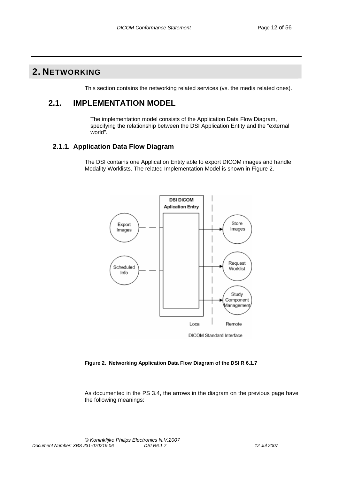# **2. NETWORKING**

This section contains the networking related services (vs. the media related ones).

### **2.1. IMPLEMENTATION MODEL**

 The implementation model consists of the Application Data Flow Diagram, specifying the relationship between the DSI Application Entity and the "external world".

### **2.1.1. Application Data Flow Diagram**

The DSI contains one Application Entity able to export DICOM images and handle Modality Worklists. The related Implementation Model is shown in Figure 2.



**Figure 2. Networking Application Data Flow Diagram of the DSI R 6.1.7** 

As documented in the PS 3.4, the arrows in the diagram on the previous page have the following meanings: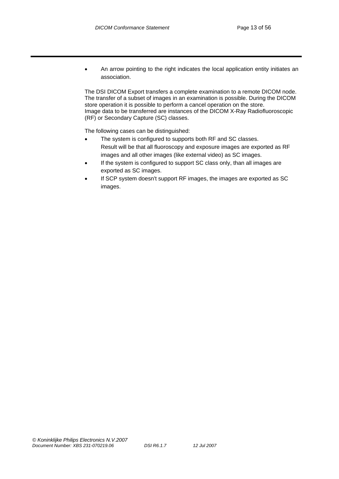• An arrow pointing to the right indicates the local application entity initiates an association.

The DSI DICOM Export transfers a complete examination to a remote DICOM node. The transfer of a subset of images in an examination is possible. During the DICOM store operation it is possible to perform a cancel operation on the store. Image data to be transferred are instances of the DICOM X-Ray Radiofluoroscopic (RF) or Secondary Capture (SC) classes.

The following cases can be distinguished:

- The system is configured to supports both RF and SC classes. Result will be that all fluoroscopy and exposure images are exported as RF images and all other images (like external video) as SC images.
- If the system is configured to support SC class only, than all images are exported as SC images.
- If SCP system doesn't support RF images, the images are exported as SC images.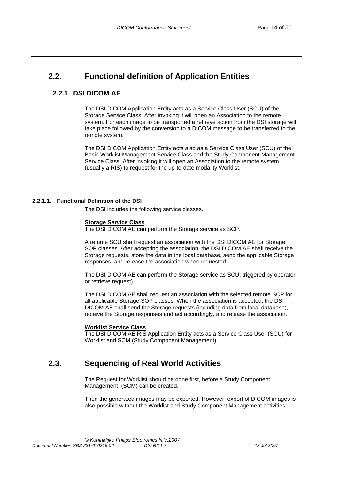# **2.2. Functional definition of Application Entities**

### **2.2.1. DSI DICOM AE**

The DSI DICOM Application Entity acts as a Service Class User (SCU) of the Storage Service Class. After invoking it will open an Association to the remote system. For each image to be transported a retrieve action from the DSI storage will take place followed by the conversion to a DICOM message to be transferred to the remote system.

The DSI DICOM Application Entity acts also as a Service Class User (SCU) of the Basic Worklist Management Service Class and the Study Component Management Service Class. After invoking it will open an Association to the remote system (usually a RIS) to request for the up-to-date modality Worklist.

#### **2.2.1.1. Functional Definition of the DSI**

The DSI includes the following service classes.

#### **Storage Service Class**

The DSI DICOM AE can perform the Storage service as SCP.

A remote SCU shall request an association with the DSI DICOM AE for Storage SOP classes. After accepting the association, the DSI DICOM AE shall receive the Storage requests, store the data in the local database, send the applicable Storage responses, and release the association when requested.

The DSI DICOM AE can perform the Storage service as SCU, triggered by operator or retrieve request).

The DSI DICOM AE shall request an association with the selected remote SCP for all applicable Storage SOP classes. When the association is accepted, the DSI DICOM AE shall send the Storage requests (including data from local database), receive the Storage responses and act accordingly, and release the association.

#### **Worklist Service Class**

The DSI DICOM AE RIS Application Entity acts as a Service Class User (SCU) for Worklist and SCM (Study Component Management).

# **2.3. Sequencing of Real World Activities**

The Request for Worklist should be done first, before a Study Component Management (SCM) can be created.

Then the generated images may be exported. However, export of DICOM images is also possible without the Worklist and Study Component Management activities.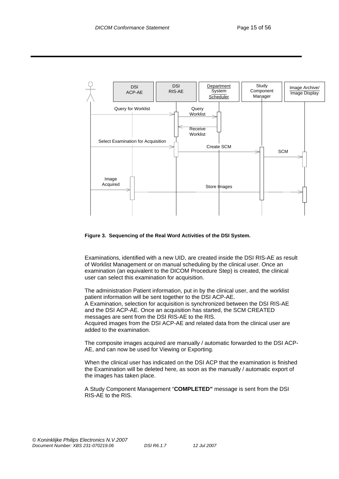

#### **Figure 3. Sequencing of the Real Word Activities of the DSI System.**

Examinations, identified with a new UID, are created inside the DSI RIS-AE as result of Worklist Management or on manual scheduling by the clinical user. Once an examination (an equivalent to the DICOM Procedure Step) is created, the clinical user can select this examination for acquisition.

The administration Patient information, put in by the clinical user, and the worklist patient information will be sent together to the DSI ACP-AE.

A Examination, selection for acquisition is synchronized between the DSI RIS-AE and the DSI ACP-AE. Once an acquisition has started, the SCM CREATED messages are sent from the DSI RIS-AE to the RIS.

Acquired images from the DSI ACP-AE and related data from the clinical user are added to the examination.

The composite images acquired are manually / automatic forwarded to the DSI ACP-AE, and can now be used for Viewing or Exporting.

When the clinical user has indicated on the DSI ACP that the examination is finished the Examination will be deleted here, as soon as the manually / automatic export of the images has taken place.

A Study Component Management "**COMPLETED"** message is sent from the DSI RIS-AE to the RIS.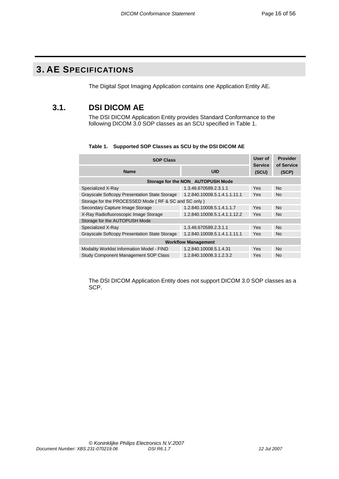# **3. AE SPECIFICATIONS**

The Digital Spot Imaging Application contains one Application Entity AE.

# **3.1. DSI DICOM AE**

The DSI DICOM Application Entity provides Standard Conformance to the following DICOM 3.0 SOP classes as an SCU specified in Table 1.

| <b>SOP Class</b>                                     |                                   |                         | <b>Provider</b><br>of Service |  |
|------------------------------------------------------|-----------------------------------|-------------------------|-------------------------------|--|
| <b>Name</b>                                          | <b>UID</b>                        | <b>Service</b><br>(SCU) | (SCP)                         |  |
|                                                      | Storage for the NON AUTOPUSH Mode |                         |                               |  |
| Specialized X-Ray                                    | 1.3.46.670589.2.3.1.1             | Yes                     | <b>No</b>                     |  |
| Grayscale Softcopy Presentation State Storage        | 1.2.840.10008.5.1.4.1.1.11.1      | Yes                     | <b>No</b>                     |  |
| Storage for the PROCESSED Mode (RF & SC and SC only) |                                   |                         |                               |  |
| Secondary Capture Image Storage                      | 1.2.840.10008.5.1.4.1.1.7         | Yes                     | <b>No</b>                     |  |
| X-Ray Radiofluoroscopic Image Storage                | 1.2.840.10008.5.1.4.1.1.12.2      | Yes                     | <b>No</b>                     |  |
| Storage for the AUTOPUSH Mode                        |                                   |                         |                               |  |
| Specialized X-Ray                                    | 1.3.46.670589.2.3.1.1             | Yes                     | <b>No</b>                     |  |
| Grayscale Softcopy Presentation State Storage        | 1.2.840.10008.5.1.4.1.1.11.1      | Yes                     | <b>No</b>                     |  |
| <b>Workflow Management</b>                           |                                   |                         |                               |  |
| Modality Worklist Information Model - FIND           | 1.2.840.10008.5.1.4.31            | Yes                     | <b>No</b>                     |  |
| <b>Study Component Management SOP Class</b>          | 1.2.840.10008.3.1.2.3.2           | Yes                     | <b>No</b>                     |  |

#### **Table 1. Supported SOP Classes as SCU by the DSI DICOM AE**

The DSI DICOM Application Entity does not support DICOM 3.0 SOP classes as a SCP.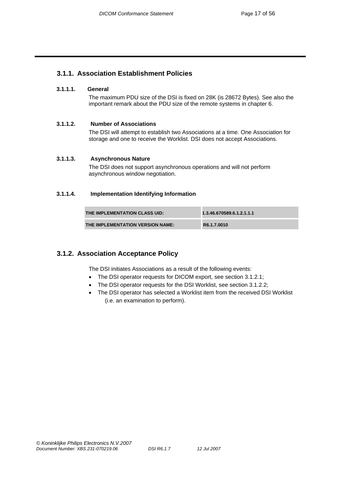### **3.1.1. Association Establishment Policies**

#### **3.1.1.1. General**

The maximum PDU size of the DSI is fixed on 28K (is 28672 Bytes). See also the important remark about the PDU size of the remote systems in chapter 6.

#### **3.1.1.2. Number of Associations**

The DSI will attempt to establish two Associations at a time. One Association for storage and one to receive the Worklist. DSI does not accept Associations.

#### **3.1.1.3. Asynchronous Nature**

The DSI does not support asynchronous operations and will not perform asynchronous window negotiation.

#### **3.1.1.4. Implementation Identifying Information**

| THE IMPLEMENTATION CLASS UID:    | 1.3.46.670589.6.1.2.1.1.1 |
|----------------------------------|---------------------------|
| THE IMPLEMENTATION VERSION NAME: | R6.1.7.0010               |

### **3.1.2. Association Acceptance Policy**

The DSI initiates Associations as a result of the following events:

- The DSI operator requests for DICOM export, see section 3.1.2.1;
- The DSI operator requests for the DSI Worklist, see section 3.1.2.2;
- The DSI operator has selected a Worklist item from the received DSI Worklist (i.e. an examination to perform).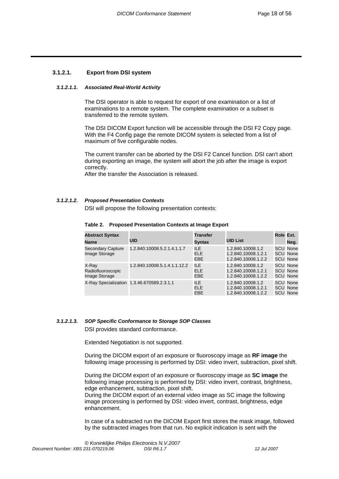#### **3.1.2.1. Export from DSI system**

#### *3.1.2.1.1. Associated Real-World Activity*

The DSI operator is able to request for export of one examination or a list of examinations to a remote system. The complete examination or a subset is transferred to the remote system.

The DSI DICOM Export function will be accessible through the DSI F2 Copy page. With the F4 Config page the remote DICOM system is selected from a list of maximum of five configurable nodes.

The current transfer can be aborted by the DSI F2 Cancel function. DSI can't abort during exporting an image, the system will abort the job after the image is export correctly.

After the transfer the Association is released.

#### *3.1.2.1.2. Proposed Presentation Contexts*

DSI will propose the following presentation contexts:

| <b>Abstract Syntax</b>                      |                                            | <b>Transfer</b>                        |                                                                 | Role Ext. |                                                       |
|---------------------------------------------|--------------------------------------------|----------------------------------------|-----------------------------------------------------------------|-----------|-------------------------------------------------------|
| Name                                        | UID                                        | <b>Syntax</b>                          | <b>UID List</b>                                                 |           | Neg.                                                  |
| <b>Secondary Capture</b><br>Image Storage   | 1.2.840.10008.5.2.1.4.1.1.7                | <b>ILE</b><br><b>ELE</b><br><b>EBE</b> | 1.2.840.10008.1.2<br>1.2.840.10008.1.2.1<br>1.2.840.10008.1.2.2 |           | <b>SCU None</b><br><b>SCU None</b><br><b>SCU None</b> |
| X-Ray<br>Radiofluoroscopic<br>Image Storage | 1.2.840.10008.5.1.4.1.1.12.2               | <b>ILE</b><br>ELE.<br><b>EBE</b>       | 1.2.840.10008.1.2<br>1.2.840.10008.1.2.1<br>1.2.840.10008.1.2.2 |           | <b>SCU None</b><br><b>SCU None</b><br><b>SCU None</b> |
|                                             | X-Ray Specialization 1.3.46.670589.2.3.1.1 | ILE.<br>ELE.<br><b>EBE</b>             | 1.2.840.10008.1.2<br>1.2.840.10008.1.2.1<br>1.2.840.10008.1.2.2 |           | <b>SCU None</b><br><b>SCU None</b><br><b>SCU None</b> |

#### **Table 2. Proposed Presentation Contexts at Image Export**

#### *3.1.2.1.3. SOP Specific Conformance to Storage SOP Classes*

DSI provides standard conformance.

Extended Negotiation is not supported.

During the DICOM export of an exposure or fluoroscopy image as **RF image** the following image processing is performed by DSI: video invert, subtraction, pixel shift.

During the DICOM export of an exposure or fluoroscopy image as **SC image** the following image processing is performed by DSI: video invert, contrast, brightness, edge enhancement, subtraction, pixel shift.

During the DICOM export of an external video image as SC image the following image processing is performed by DSI: video invert, contrast, brightness, edge enhancement.

In case of a subtracted run the DICOM Export first stores the mask image, followed by the subtracted images from that run. No explicit indication is sent with the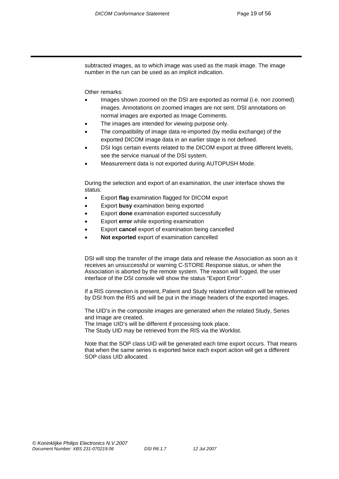subtracted images, as to which image was used as the mask image. The image number in the run can be used as an implicit indication.

Other remarks:

- Images shown zoomed on the DSI are exported as normal (i.e. non zoomed) images. Annotations on zoomed images are not sent. DSI annotations on normal images are exported as Image Comments.
- The images are intended for viewing purpose only.
- The compatibility of image data re-imported (by media exchange) of the exported DICOM image data in an earlier stage is not defined.
- DSI logs certain events related to the DICOM export at three different levels, see the service manual of the DSI system.
- Measurement data is not exported during AUTOPUSH Mode.

During the selection and export of an examination, the user interface shows the status:

- Export **flag** examination flagged for DICOM export
- Export **busy** examination being exported
- Export **done** examination exported successfully
- Export **error** while exporting examination
- Export **cancel** export of examination being cancelled
- **Not exported** export of examination cancelled

DSI will stop the transfer of the image data and release the Association as soon as it receives an unsuccessful or warning C-STORE Response status, or when the Association is aborted by the remote system. The reason will logged, the user interface of the DSI console will show the status "Export Error".

If a RIS connection is present, Patient and Study related information will be retrieved by DSI from the RIS and will be put in the image headers of the exported images.

The UID's in the composite images are generated when the related Study, Series and Image are created.

The Image UID's will be different if processing took place.

The Study UID may be retrieved from the RIS via the Worklist.

Note that the SOP class UID will be generated each time export occurs. That means that when the same series is exported twice each export action will get a different SOP class UID allocated.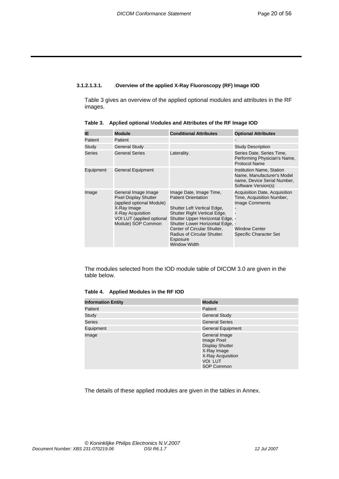#### **3.1.2.1.3.1.** .**Overview of the applied X-Ray Fluoroscopy (RF) Image IOD**

Table 3 gives an overview of the applied optional modules and attributes in the RF images.

| IE.           | Module                                                                                                                                                                  | <b>Conditional Attributes</b>                                                                                                                                                                                                                                                          | <b>Optional Attributes</b>                                                                                                                   |
|---------------|-------------------------------------------------------------------------------------------------------------------------------------------------------------------------|----------------------------------------------------------------------------------------------------------------------------------------------------------------------------------------------------------------------------------------------------------------------------------------|----------------------------------------------------------------------------------------------------------------------------------------------|
| Patient       | Patient                                                                                                                                                                 |                                                                                                                                                                                                                                                                                        |                                                                                                                                              |
| Study         | <b>General Study</b>                                                                                                                                                    |                                                                                                                                                                                                                                                                                        | <b>Study Description</b>                                                                                                                     |
| <b>Series</b> | <b>General Series</b>                                                                                                                                                   | Laterality.                                                                                                                                                                                                                                                                            | Series Date, Series Time,<br>Performing Physician's Name,<br><b>Protocol Name</b>                                                            |
| Equipment     | General Equipment                                                                                                                                                       |                                                                                                                                                                                                                                                                                        | Institution Name, Station<br>Name, Manufacturer's Model<br>name, Device Serial Number,<br>Software Version(s)                                |
| Image         | General Image Image<br><b>Pixel Display Shutter</b><br>(applied optional Module)<br>X-Ray Image<br>X-Ray Acquisition<br>VOI LUT (applied optional<br>Module) SOP Common | Image Date, Image Time,<br><b>Patient Orientation</b><br>Shutter Left Vertical Edge,<br>Shutter Right Vertical Edge,<br>Shutter Upper Horizontal Edge, -<br>Shutter Lower Horizontal Edge, -<br>Center of Circular Shutter.<br>Radius of Circular Shutter.<br>Exposure<br>Window Width | Acquisition Date, Acquisition<br>Time, Acquisition Number,<br><b>Image Comments</b><br><b>Window Center</b><br><b>Specific Character Set</b> |

**Table 3. Ap**p**lied optional** M**odules and Attributes of the RF Image IOD** 

The modules selected from the IOD module table of DICOM 3.0 are given in the table below.

**Table 4. Applied Modules in the RF IOD** 

| <b>Information Entity</b> | Module                                                                                                                     |
|---------------------------|----------------------------------------------------------------------------------------------------------------------------|
| Patient                   | Patient                                                                                                                    |
| Study                     | <b>General Study</b>                                                                                                       |
| <b>Series</b>             | <b>General Series</b>                                                                                                      |
| Equipment                 | <b>General Equipment</b>                                                                                                   |
| Image                     | General Image<br>Image Pixel<br><b>Display Shutter</b><br>X-Ray Image<br>X-Ray Acquisition<br>VOI LUT<br><b>SOP Common</b> |

The details of these applied modules are given in the tables in Annex.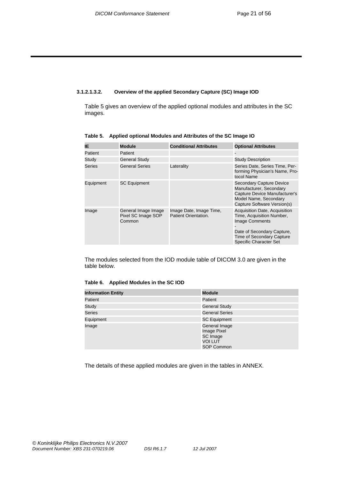#### **3.1.2.1.3.2. Overview of the applied Secondary Capture (SC) Image IOD**

Table 5 gives an overview of the applied optional modules and attributes in the SC images.

| IE.           | <b>Module</b>                                       | <b>Conditional Attributes</b>                   | <b>Optional Attributes</b>                                                                                                                                                             |
|---------------|-----------------------------------------------------|-------------------------------------------------|----------------------------------------------------------------------------------------------------------------------------------------------------------------------------------------|
| Patient       | Patient                                             |                                                 |                                                                                                                                                                                        |
| Study         | <b>General Study</b>                                |                                                 | <b>Study Description</b>                                                                                                                                                               |
| <b>Series</b> | <b>General Series</b>                               | Laterality                                      | Series Date, Series Time, Per-<br>forming Physician's Name, Pro-<br>tocol Name                                                                                                         |
| Equipment     | <b>SC Equipment</b>                                 |                                                 | <b>Secondary Capture Device</b><br>Manufacturer, Secondary<br>Capture Device Manufacturer's<br>Model Name, Secondary<br>Capture Software Version(s)                                    |
| Image         | General Image Image<br>Pixel SC Image SOP<br>Common | Image Date, Image Time,<br>Patient Orientation. | Acquisition Date, Acquisition<br>Time, Acquisition Number,<br><b>Image Comments</b><br>Date of Secondary Capture,<br><b>Time of Secondary Capture</b><br><b>Specific Character Set</b> |

**Table 5. Applied optional Modules and Attributes of the SC Image IO** 

The modules selected from the IOD module table of DICOM 3.0 are given in the table below.

#### **Table 6. Applied Modules in the SC IOD**

| <b>Information Entity</b> | <b>Module</b>                                                                   |
|---------------------------|---------------------------------------------------------------------------------|
| Patient                   | Patient                                                                         |
| Study                     | <b>General Study</b>                                                            |
| <b>Series</b>             | <b>General Series</b>                                                           |
| Equipment                 | <b>SC Equipment</b>                                                             |
| Image                     | General Image<br>Image Pixel<br>SC Image<br><b>VOI LUT</b><br><b>SOP Common</b> |

The details of these applied modules are given in the tables in ANNEX.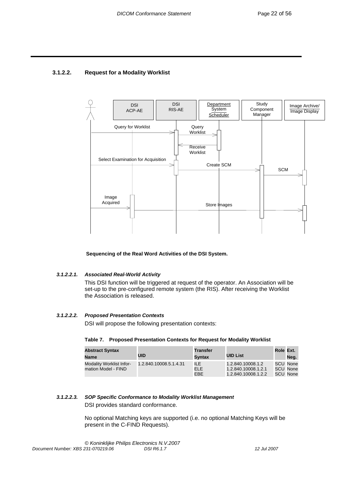### **3.1.2.2. Request for a Modality Worklist**



 **Sequencing of the Real Word Activities of the DSI System.** 

#### *3.1.2.2.1. Associated Real-World Activity*

This DSI function will be triggered at request of the operator. An Association will be set-up to the pre-configured remote system (the RIS). After receiving the Worklist the Association is released.

#### *3.1.2.2.2. Proposed Presentation Contexts*

DSI will propose the following presentation contexts:

#### **Table 7. Proposed Presentation Contexts for Request for Modality Worklist**

| <b>Abstract Syntax</b><br><b>Name</b>                  | UID                    | Transfer<br>Svntax               | <b>UID List</b>                                                 | Role Ext. | Neg.                             |
|--------------------------------------------------------|------------------------|----------------------------------|-----------------------------------------------------------------|-----------|----------------------------------|
| <b>Modality Worklist Infor-</b><br>mation Model - FIND | 1.2.840.10008.5.1.4.31 | ILE.<br><b>ELE</b><br><b>EBE</b> | 1.2.840.10008.1.2<br>1.2.840.10008.1.2.1<br>1.2.840.10008.1.2.2 |           | SCU None<br>SCU None<br>SCU None |

#### *3.1.2.2.3. SOP Specific Conformance to Modality Worklist Management*

DSI provides standard conformance.

No optional Matching keys are supported (i.e. no optional Matching Keys will be present in the C-FIND Requests).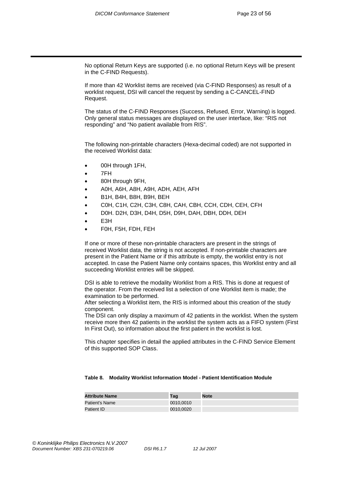No optional Return Keys are supported (i.e. no optional Return Keys will be present in the C-FIND Requests).

If more than 42 Worklist items are received (via C-FIND Responses) as result of a worklist request, DSI will cancel the request by sending a C-CANCEL-FIND Request.

The status of the C-FIND Responses (Success, Refused, Error, Warning) is logged. Only general status messages are displayed on the user interface, like: "RIS not responding" and "No patient available from RIS".

The following non-printable characters (Hexa-decimal coded) are not supported in the received Worklist data:

- 00H through 1FH,
- 7FH
- 80H through 9FH,
- A0H, A6H, A8H, A9H, ADH, AEH, AFH
- B1H, B4H, B8H, B9H, BEH
- C0H, C1H, C2H, C3H, C8H, CAH, CBH, CCH, CDH, CEH, CFH
- D0H. D2H, D3H, D4H, D5H, D9H, DAH, DBH, DDH, DEH
- E<sub>3</sub>H
- F0H, F5H, FDH, FEH

If one or more of these non-printable characters are present in the strings of received Worklist data, the string is not accepted. If non-printable characters are present in the Patient Name or if this attribute is empty, the worklist entry is not accepted. In case the Patient Name only contains spaces, this Worklist entry and all succeeding Worklist entries will be skipped.

DSI is able to retrieve the modality Worklist from a RIS. This is done at request of the operator. From the received list a selection of one Worklist item is made; the examination to be performed.

After selecting a Worklist item, the RIS is informed about this creation of the study component.

The DSI can only display a maximum of 42 patients in the worklist. When the system receive more then 42 patients in the worklist the system acts as a FIFO system (First In First Out), so information about the first patient in the worklist is lost.

This chapter specifies in detail the applied attributes in the C-FIND Service Element of this supported SOP Class.

#### **Table 8. Modality Worklist Information Model - Patient Identification Module**

| <b>Attribute Name</b> | Taɑ       | <b>Note</b> |
|-----------------------|-----------|-------------|
| Patient's Name        | 0010,0010 |             |
| Patient ID            | 0010,0020 |             |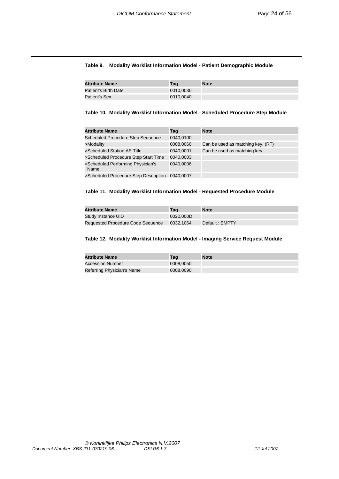#### **Table 9. Modality Worklist Information Model - Patient Demographic Module**

| <b>Attribute Name</b> | Taɑ       | <b>Note</b> |
|-----------------------|-----------|-------------|
| Patient's Birth Date  | 0010,0030 |             |
| Patient's Sex         | 0010,0040 |             |

#### **Table 10. Modality Worklist Information Model - Scheduled Procedure Step Module**

| <b>Attribute Name</b>                     | Taq       | <b>Note</b>                       |
|-------------------------------------------|-----------|-----------------------------------|
| <b>Scheduled Procedure Step Sequence</b>  | 0040.0100 |                                   |
| >Modality                                 | 0008,0060 | Can be used as matching key. (RF) |
| >Scheduled Station AE Title               | 0040,0001 | Can be used as matching key.      |
| >Scheduled Procedure Step Start Time      | 0040,0003 |                                   |
| >Scheduled Performing Physician's<br>Name | 0040.0006 |                                   |
| >Scheduled Procedure Step Description     | 0040.0007 |                                   |

#### **Table 11. Modality Worklist Information Model - Requested Procedure Module**

| <b>Attribute Name</b>             | Taɑ       | <b>Note</b>     |
|-----------------------------------|-----------|-----------------|
| Study Instance UID                | 0020.000D |                 |
| Requested Procedure Code Sequence | 0032.1064 | Default : EMPTY |

#### **Table 12. Modality Worklist Information Model - Imaging Service Request Module**

| <b>Attribute Name</b>      | Taɑ       | <b>Note</b> |
|----------------------------|-----------|-------------|
| <b>Accession Number</b>    | 0008.0050 |             |
| Referring Physician's Name | 0008,0090 |             |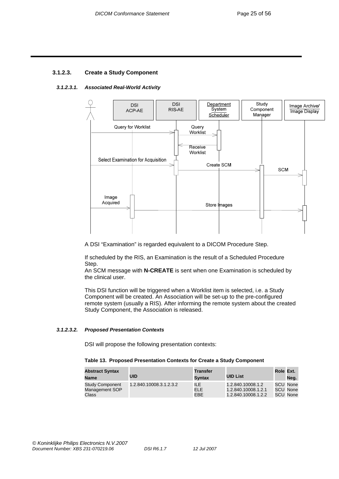### **3.1.2.3. Create a Study Component**

#### *3.1.2.3.1. Associated Real-World Activity*



A DSI "Examination" is regarded equivalent to a DICOM Procedure Step.

If scheduled by the RIS, an Examination is the result of a Scheduled Procedure Step.

An SCM message with **N-CREATE** is sent when one Examination is scheduled by the clinical user.

This DSI function will be triggered when a Worklist item is selected, i.e. a Study Component will be created. An Association will be set-up to the pre-configured remote system (usually a RIS). After informing the remote system about the created Study Component, the Association is released.

#### *3.1.2.3.2. Proposed Presentation Contexts*

DSI will propose the following presentation contexts:

#### **Table 13. Proposed Presentation Contexts for Create a Study Component**

| <b>Abstract Syntax</b><br>Name                    | UID                     | <b>Transfer</b><br>Svntax  | <b>UID List</b>                                                 | Role Ext. | Nea.                             |
|---------------------------------------------------|-------------------------|----------------------------|-----------------------------------------------------------------|-----------|----------------------------------|
| <b>Study Component</b><br>Management SOP<br>Class | 1.2.840.10008.3.1.2.3.2 | ILE.<br>ELE.<br><b>EBE</b> | 1.2.840.10008.1.2<br>1.2.840.10008.1.2.1<br>1.2.840.10008.1.2.2 |           | SCU None<br>SCU None<br>SCU None |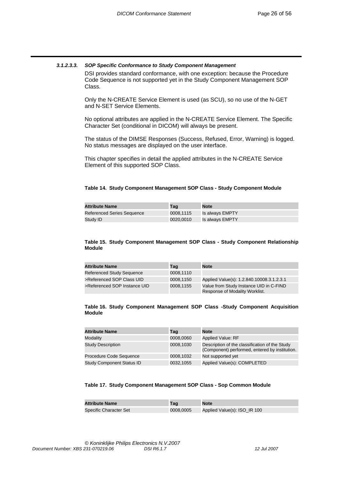#### *3.1.2.3.3. SOP Specific Conformance to Study Component Management*

DSI provides standard conformance, with one exception: because the Procedure Code Sequence is not supported yet in the Study Component Management SOP Class.

Only the N-CREATE Service Element is used (as SCU), so no use of the N-GET and N-SET Service Elements.

No optional attributes are applied in the N-CREATE Service Element. The Specific Character Set (conditional in DICOM) will always be present.

The status of the DIMSE Responses (Success, Refused, Error, Warning) is logged. No status messages are displayed on the user interface.

This chapter specifies in detail the applied attributes in the N-CREATE Service Element of this supported SOP Class.

#### **Table 14. Study Component Management SOP Class - Study Component Module**

| <b>Attribute Name</b>      | Taɑ       | <b>Note</b>     |
|----------------------------|-----------|-----------------|
| Referenced Series Sequence | 0008.1115 | Is always EMPTY |
| Study ID                   | 0020.0010 | Is always EMPTY |

#### **Table 15. Study Component Management SOP Class - Study Component Relationship Module**

| <b>Attribute Name</b>            | Tag       | <b>Note</b>                                                               |
|----------------------------------|-----------|---------------------------------------------------------------------------|
| <b>Referenced Study Sequence</b> | 0008.1110 |                                                                           |
| >Referenced SOP Class UID        | 0008.1150 | Applied Value(s): 1.2.840.10008.3.1.2.3.1                                 |
| >Referenced SOP Instance UID     | 0008.1155 | Value from Study Instance UID in C-FIND<br>Response of Modality Worklist. |

#### **Table 16. Study Component Management SOP Class -Study Component Acquisition Module**

| <b>Attribute Name</b>            | Taq       | <b>Note</b>                                                                                      |
|----------------------------------|-----------|--------------------------------------------------------------------------------------------------|
| Modality                         | 0008,0060 | <b>Applied Value: RF</b>                                                                         |
| <b>Study Description</b>         | 0008,1030 | Description of the classification of the Study<br>(Component) performed, entered by institution. |
| Procedure Code Sequence          | 0008,1032 | Not supported yet                                                                                |
| <b>Study Component Status ID</b> | 0032,1055 | Applied Value(s): COMPLETED                                                                      |

#### **Table 17. Study Component Management SOP Class - Sop Common Module**

| <b>Attribute Name</b>         | Taɑ       | <b>Note</b>                  |
|-------------------------------|-----------|------------------------------|
| <b>Specific Character Set</b> | 0008.0005 | Applied Value(s): ISO_IR 100 |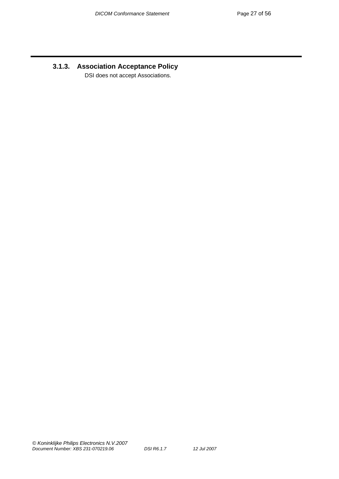# **3.1.3. Association Acceptance Policy**

DSI does not accept Associations.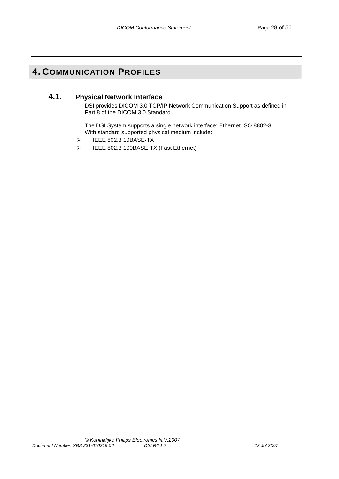# **4. COMMUNICATION PROFILES**

### **4.1. Physical Network Interface**

DSI provides DICOM 3.0 TCP/IP Network Communication Support as defined in Part 8 of the DICOM 3.0 Standard.

The DSI System supports a single network interface: Ethernet ISO 8802-3. With standard supported physical medium include:

- ¾ IEEE 802.3 10BASE-TX
- ¾ IEEE 802.3 100BASE-TX (Fast Ethernet)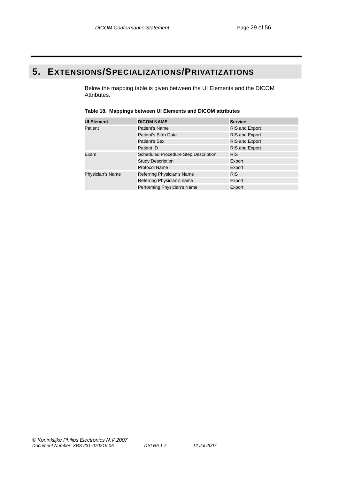# **5. EXTENSIONS/SPECIALIZATIONS/PRIVATIZATIONS**

Below the mapping table is given between the UI Elements and the DICOM Attributes.

| <b>UI Element</b> | <b>DICOM NAME</b>                           | Service               |
|-------------------|---------------------------------------------|-----------------------|
| Patient           | Patient's Name                              | <b>RIS and Export</b> |
|                   | Patient's Birth Date                        | <b>RIS and Export</b> |
|                   | Patient's Sex                               | <b>RIS and Export</b> |
|                   | Patient ID                                  | <b>RIS and Export</b> |
| Exam              | <b>Scheduled Procedure Step Description</b> | <b>RIS</b>            |
|                   | <b>Study Description</b>                    | Export                |
|                   | Protocol Name                               | Export                |
| Physician's Name  | Referring Physician's Name                  | <b>RIS</b>            |
|                   | Referring Physician's name                  | Export                |
|                   | Performing Physician's Name                 | Export                |

#### **Table 18. Mappings between UI Elements and DICOM attributes**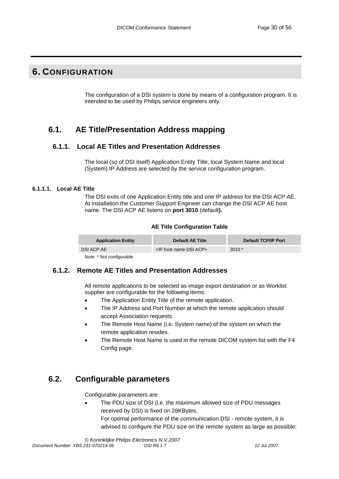# **6. CONFIGURATION**

The configuration of a DSI system is done by means of a configuration program. It is intended to be used by Philips service engineers only.

# **6.1. AE Title/Presentation Address mapping**

### **6.1.1. Local AE Titles and Presentation Addresses**

The local (so of DSI itself) Application Entity Title, local System Name and local (System) IP Address are selected by the service configuration program.

#### **6.1.1.1. Local AE Title**

The DSI exits of one Application Entity title and one IP address for the DSI ACP AE. At installation the Customer Support Engineer can change the DSI ACP AE host name. The DSI ACP AE listens on **port 3010** (default**).** 

#### **AE Title Configuration Table**

| <b>Application Entity</b> | <b>Default AE Title</b>                 | Default TCP/IP Port |
|---------------------------|-----------------------------------------|---------------------|
| DSI ACP AE                | <ip acp="" dsi="" host="" name=""></ip> | $3010*$             |
| Note: * Not configurable. |                                         |                     |

#### **6.1.2. Remote AE Titles and Presentation Addresses**

All remote applications to be selected as image export destination or as Worklist supplier are configurable for the following items:

- The Application Entity Title of the remote application.
- The IP Address and Port Number at which the remote application should accept Association requests.
- The Remote Host Name (i.e. System name) of the system on which the remote application resides.
- The Remote Host Name is used in the remote DICOM system list with the F4 Config page.

# **6.2. Configurable parameters**

Configurable parameters are:

• The PDU size of DSI (i.e. the maximum allowed size of PDU messages received by DSI) is fixed on 28KBytes. For optimal performance of the communication DSI - remote system, it is advised to configure the PDU size on the remote system as large as possible: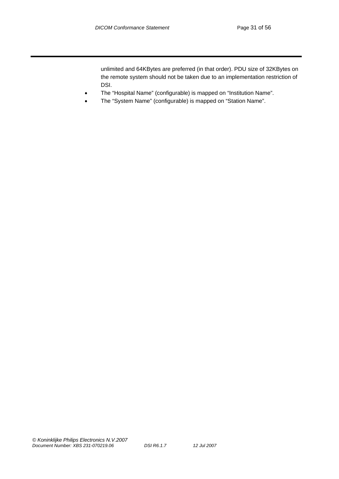unlimited and 64KBytes are preferred (in that order). PDU size of 32KBytes on the remote system should not be taken due to an implementation restriction of DSI.

- The "Hospital Name" (configurable) is mapped on "Institution Name".
- The "System Name" (configurable) is mapped on "Station Name".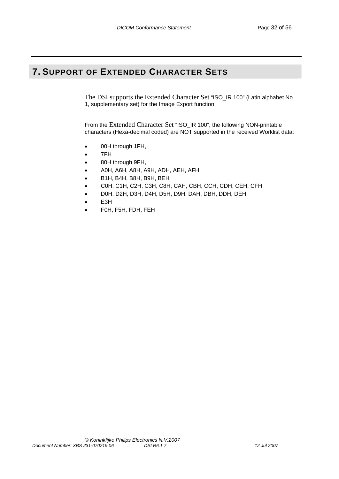# **7. SUPPORT OF EXTENDED CHARACTER SETS**

The DSI supports the Extended Character Set "ISO\_IR 100" (Latin alphabet No 1, supplementary set) for the Image Export function.

From the Extended Character Set "ISO\_IR 100", the following NON-printable characters (Hexa-decimal coded) are NOT supported in the received Worklist data:

- 00H through 1FH,
- 7FH
- 80H through 9FH,
- A0H, A6H, A8H, A9H, ADH, AEH, AFH
- B1H, B4H, B8H, B9H, BEH
- C0H, C1H, C2H, C3H, C8H, CAH, CBH, CCH, CDH, CEH, CFH
- D0H. D2H, D3H, D4H, D5H, D9H, DAH, DBH, DDH, DEH
- E3H
- F0H, F5H, FDH, FEH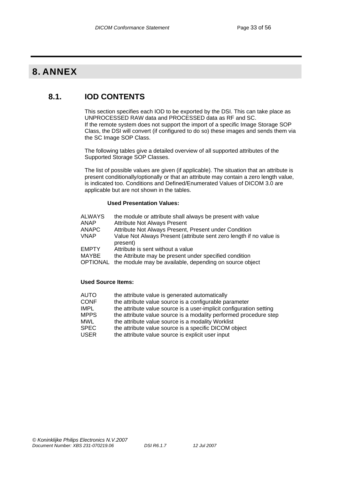# **8. ANNEX**

# **8.1. IOD CONTENTS**

This section specifies each IOD to be exported by the DSI. This can take place as UNPROCESSED RAW data and PROCESSED data as RF and SC. If the remote system does not support the import of a specific Image Storage SOP Class, the DSI will convert (if configured to do so) these images and sends them via the SC Image SOP Class.

The following tables give a detailed overview of all supported attributes of the Supported Storage SOP Classes.

The list of possible values are given (if applicable). The situation that an attribute is present conditionally/optionally or that an attribute may contain a zero length value, is indicated too. Conditions and Defined/Enumerated Values of DICOM 3.0 are applicable but are not shown in the tables.

#### **Used Presentation Values:**

| <b>ALWAYS</b> | the module or attribute shall always be present with value |
|---------------|------------------------------------------------------------|
|---------------|------------------------------------------------------------|

- ANAP Attribute Not Always Present<br>ANAPC Attribute Not Always Present.
- ANAPC Attribute Not Always Present, Present under Condition<br>
VNAP Value Not Always Present (attribute sent zero length if

Value Not Always Present (attribute sent zero length if no value is present)

- EMPTY Attribute is sent without a value
- MAYBE the Attribute may be present under specified condition
- OPTIONAL the module may be available, depending on source object

#### **Used Source Items:**

- AUTO the attribute value is generated automatically
- CONF the attribute value source is a configurable parameter
- IMPL the attribute value source is a user-implicit configuration setting<br>MPPS the attribute value source is a modality performed procedure ste
- the attribute value source is a modality performed procedure step
- MWL the attribute value source is a modality Worklist
- SPEC the attribute value source is a specific DICOM object<br>USER the attribute value source is explicit user input
- the attribute value source is explicit user input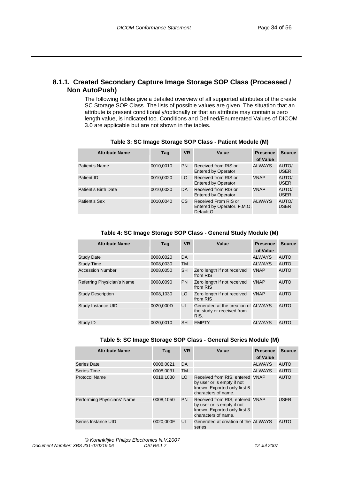### **8.1.1. Created Secondary Capture Image Storage SOP Class (Processed / Non AutoPush)**

The following tables give a detailed overview of all supported attributes of the create SC Storage SOP Class. The lists of possible values are given. The situation that an attribute is present conditionally/optionally or that an attribute may contain a zero length value, is indicated too. Conditions and Defined/Enumerated Values of DICOM 3.0 are applicable but are not shown in the tables.

| <b>Attribute Name</b> | Taq       | <b>VR</b> | Value                                                               | <b>Presence</b><br>of Value | <b>Source</b>        |
|-----------------------|-----------|-----------|---------------------------------------------------------------------|-----------------------------|----------------------|
| Patient's Name        | 0010,0010 | PN.       | Received from RIS or<br><b>Entered by Operator</b>                  | ALWAYS                      | AUTO/<br><b>USER</b> |
| Patient ID            | 0010,0020 | LO.       | Received from RIS or<br><b>Entered by Operator</b>                  | <b>VNAP</b>                 | AUTO/<br><b>USER</b> |
| Patient's Birth Date  | 0010,0030 | DA        | Received from RIS or<br><b>Entered by Operator</b>                  | <b>VNAP</b>                 | AUTO/<br><b>USER</b> |
| Patient's Sex         | 0010.0040 | CS        | Received From RIS or<br>Entered by Operator. F, M, O,<br>Default O. | ALWAYS                      | AUTO/<br><b>USER</b> |

**Table 3: SC Image Storage SOP Class - Patient Module (M)** 

**Table 4: SC Image Storage SOP Class - General Study Module (M)** 

| <b>Attribute Name</b>      | Taq       | <b>VR</b> | Value                                                                     | <b>Presence</b><br>of Value | <b>Source</b> |
|----------------------------|-----------|-----------|---------------------------------------------------------------------------|-----------------------------|---------------|
| <b>Study Date</b>          | 0008,0020 | DA        |                                                                           | <b>ALWAYS</b>               | <b>AUTO</b>   |
| <b>Study Time</b>          | 0008,0030 | TM        |                                                                           | <b>ALWAYS</b>               | <b>AUTO</b>   |
| <b>Accession Number</b>    | 0008.0050 | <b>SH</b> | Zero length if not received<br>from RIS                                   | <b>VNAP</b>                 | <b>AUTO</b>   |
| Referring Physician's Name | 0008.0090 | <b>PN</b> | Zero length if not received<br>from RIS                                   | <b>VNAP</b>                 | <b>AUTO</b>   |
| <b>Study Description</b>   | 0008,1030 | LO        | Zero length if not received<br>from RIS                                   | <b>VNAP</b>                 | <b>AUTO</b>   |
| Study Instance UID         | 0020.000D | UI        | Generated at the creation of ALWAYS<br>the study or received from<br>RIS. |                             | <b>AUTO</b>   |
| Study ID                   | 0020.0010 | <b>SH</b> | <b>EMPTY</b>                                                              | <b>ALWAYS</b>               | <b>AUTO</b>   |

| <b>Attribute Name</b>       | Taq       | <b>VR</b> | Value                                                                                                                | <b>Presence</b><br>of Value | <b>Source</b> |
|-----------------------------|-----------|-----------|----------------------------------------------------------------------------------------------------------------------|-----------------------------|---------------|
| Series Date                 | 0008,0021 | DA        |                                                                                                                      | <b>ALWAYS</b>               | <b>AUTO</b>   |
| Series Time                 | 0008.0031 | TM        |                                                                                                                      | ALWAYS                      | AUTO          |
| Protocol Name               | 0018,1030 | LO        | Received from RIS, entered VNAP<br>by user or is empty if not<br>known. Exported only first 6<br>characters of name. |                             | AUTO          |
| Performing Physicians' Name | 0008,1050 | <b>PN</b> | Received from RIS, entered VNAP<br>by user or is empty if not<br>known. Exported only first 3<br>characters of name. |                             | <b>USER</b>   |
| Series Instance UID         | 0020.000E | UI        | Generated at creation of the ALWAYS<br>series                                                                        |                             | <b>AUTO</b>   |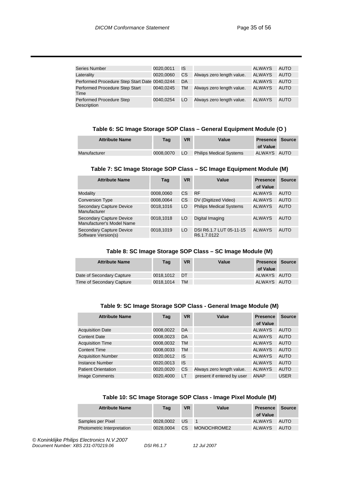| <b>Series Number</b>                          | 0020.0011 | IS |                           | ALWAYS | AUTO        |
|-----------------------------------------------|-----------|----|---------------------------|--------|-------------|
| Laterality                                    | 0020,0060 | CS | Always zero length value. | ALWAYS | AUTO        |
| Performed Procedure Step Start Date 0040,0244 |           | DA |                           | ALWAYS | <b>AUTO</b> |
| Performed Procedure Step Start<br>Time        | 0040.0245 | TM | Always zero length value. | ALWAYS | <b>AUTO</b> |
| Performed Procedure Step<br>Description       | 0040.0254 | LO | Always zero length value. | ALWAYS | <b>AUTO</b> |

#### **Table 6: SC Image Storage SOP Class – General Equipment Module (O )**

| <b>Attribute Name</b> | Taq       | <b>VR</b> | Value                          | <b>Presence Source</b><br>of Value |  |
|-----------------------|-----------|-----------|--------------------------------|------------------------------------|--|
| Manufacturer          | 0008.0070 | LO        | <b>Philips Medical Systems</b> | ALWAYS AUTO                        |  |

#### **Table 7: SC Image Storage SOP Class – SC Image Equipment Module (M)**

| <b>Attribute Name</b>                                        | Taq       | <b>VR</b> | Value                                  | <b>Presence</b><br>of Value | <b>Source</b> |
|--------------------------------------------------------------|-----------|-----------|----------------------------------------|-----------------------------|---------------|
| Modality                                                     | 0008,0060 | СS        | <b>RF</b>                              | <b>ALWAYS</b>               | AUTO          |
| <b>Conversion Type</b>                                       | 0008,0064 | СS        | DV (Digitized Video)                   | <b>ALWAYS</b>               | <b>AUTO</b>   |
| <b>Secondary Capture Device</b><br>Manufacturer              | 0018.1016 | LO        | <b>Philips Medical Systems</b>         | ALWAYS                      | <b>AUTO</b>   |
| <b>Secondary Capture Device</b><br>Manufacturer's Model Name | 0018.1018 | LO        | Digital Imaging                        | ALWAYS                      | <b>AUTO</b>   |
| Secondary Capture Device<br>Software Version(s)              | 0018.1019 | LO        | DSI R6.1.7 LUT 05-11-15<br>R6.1.7.0122 | ALWAYS                      | <b>AUTO</b>   |

#### **Table 8: SC Image Storage SOP Class – SC Image Module (M)**

| <b>Attribute Name</b>     | Taq       | <b>VR</b> | Value | <b>Presence Source</b><br>of Value |  |
|---------------------------|-----------|-----------|-------|------------------------------------|--|
| Date of Secondary Capture | 0018.1012 | - DT      |       | ALWAYS AUTO                        |  |
| Time of Secondary Capture | 0018.1014 | TМ        |       | ALWAYS AUTO                        |  |

#### **Table 9: SC Image Storage SOP Class - General Image Module (M)**

| <b>Attribute Name</b>      | Tag       | <b>VR</b> | Value                      | <b>Presence</b> | <b>Source</b> |
|----------------------------|-----------|-----------|----------------------------|-----------------|---------------|
|                            |           |           |                            | of Value        |               |
| <b>Acquisition Date</b>    | 0008,0022 | DA        |                            | <b>ALWAYS</b>   | <b>AUTO</b>   |
| <b>Content Date</b>        | 0008,0023 | DA        |                            | <b>ALWAYS</b>   | <b>AUTO</b>   |
| <b>Acquisition Time</b>    | 0008,0032 | TM        |                            | <b>ALWAYS</b>   | <b>AUTO</b>   |
| <b>Content Time</b>        | 0008,0033 | TM        |                            | <b>ALWAYS</b>   | <b>AUTO</b>   |
| <b>Acquisition Number</b>  | 0020,0012 | IS        |                            | <b>ALWAYS</b>   | <b>AUTO</b>   |
| <b>Instance Number</b>     | 0020,0013 | IS        |                            | <b>ALWAYS</b>   | <b>AUTO</b>   |
| <b>Patient Orientation</b> | 0020,0020 | CS        | Always zero length value.  | <b>ALWAYS</b>   | <b>AUTO</b>   |
| <b>Image Comments</b>      | 0020,4000 | LT        | present if entered by user | <b>ANAP</b>     | <b>USER</b>   |

#### **Table 10: SC Image Storage SOP Class - Image Pixel Module (M)**

| <b>Attribute Name</b>             | <b>Tag</b> | <b>VR</b> | Value       | <b>Presence</b><br>of Value | <b>Source</b> |
|-----------------------------------|------------|-----------|-------------|-----------------------------|---------------|
| Samples per Pixel                 | 0028.0002  | US.       |             | ALWAYS                      | <b>AUTO</b>   |
| <b>Photometric Interpretation</b> | 0028.0004  | CS.       | MONOCHROME2 | ALWAYS                      | <b>AUTO</b>   |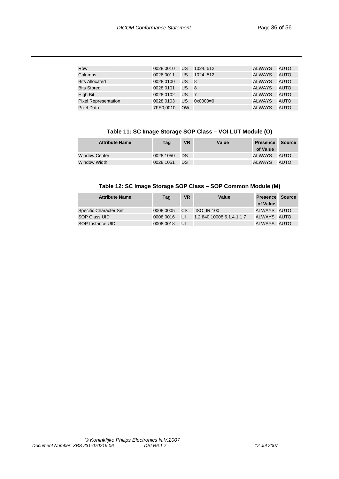| Row                         | 0028.0010 | US        | 1024.512            | ALWAYS        | <b>AUTO</b> |
|-----------------------------|-----------|-----------|---------------------|---------------|-------------|
| Columns                     | 0028,0011 | US        | 1024.512            | <b>ALWAYS</b> | <b>AUTO</b> |
| <b>Bits Allocated</b>       | 0028.0100 | US        | 8                   | <b>ALWAYS</b> | <b>AUTO</b> |
| <b>Bits Stored</b>          | 0028,0101 | US        | - 8                 | <b>ALWAYS</b> | <b>AUTO</b> |
| High Bit                    | 0028.0102 | US        | $\overline{7}$      | <b>ALWAYS</b> | <b>AUTO</b> |
| <b>Pixel Representation</b> | 0028,0103 | US        | $0 \times 0000 = 0$ | ALWAYS        | <b>AUTO</b> |
| <b>Pixel Data</b>           | 7FE0.0010 | <b>OW</b> |                     | <b>ALWAYS</b> | AUTO        |

#### **Table 11: SC Image Storage SOP Class – VOI LUT Module (O)**

| <b>Attribute Name</b> | <b>Tag</b> | <b>VR</b> | Value | <b>Presence</b><br>of Value | <b>Source</b> |
|-----------------------|------------|-----------|-------|-----------------------------|---------------|
| Window Center         | 0028.1050  | DS        |       | ALWAYS                      | AUTO          |
| Window Width          | 0028.1051  | DS.       |       | ALWAYS                      | <b>AUTO</b>   |

#### **Table 12: SC Image Storage SOP Class – SOP Common Module (M)**

| <b>Attribute Name</b>  | Tag       | <b>VR</b> | Value                     | <b>Presence Source</b><br>of Value |  |
|------------------------|-----------|-----------|---------------------------|------------------------------------|--|
| Specific Character Set | 0008.0005 | CS.       | <b>ISO IR 100</b>         | ALWAYS AUTO                        |  |
| <b>SOP Class UID</b>   | 0008.0016 | UI        | 1.2.840.10008.5.1.4.1.1.7 | ALWAYS AUTO                        |  |
| SOP Instance UID       | 0008.0018 | UI        |                           | ALWAYS AUTO                        |  |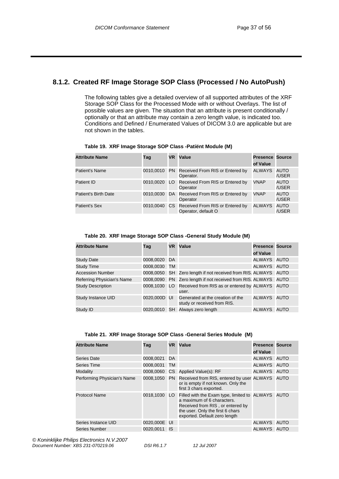### **8.1.2. Created RF Image Storage SOP Class (Processed / No AutoPush)**

The following tables give a detailed overview of all supported attributes of the XRF Storage SOP Class for the Processed Mode with or without Overlays. The list of possible values are given. The situation that an attribute is present conditionally / optionally or that an attribute may contain a zero length value, is indicated too. Conditions and Defined / Enumerated Values of DICOM 3.0 are applicable but are not shown in the tables.

| <b>Attribute Name</b> | Tag | VR. | Value                                                               | <b>Presence Source</b><br>of Value |                      |
|-----------------------|-----|-----|---------------------------------------------------------------------|------------------------------------|----------------------|
| Patient's Name        |     |     | 0010,0010 PN Received From RIS or Entered by<br>Operator.           | <b>ALWAYS</b>                      | AUTO<br>/USER        |
| Patient ID            |     |     | 0010,0020 LO Received From RIS or Entered by<br>Operator            | <b>VNAP</b>                        | AUTO<br>/USER        |
| Patient's Birth Date  |     |     | 0010,0030 DA Received From RIS or Entered by<br>Operator            | <b>VNAP</b>                        | <b>AUTO</b><br>/USER |
| Patient's Sex         |     |     | 0010,0040 CS Received From RIS or Entered by<br>Operator, default O | <b>ALWAYS</b>                      | AUTO<br>/USER        |

#### **Table 19. XRF Image Storage SOP Class -Patiënt Module (M)**

#### **Table 20. XRF Image Storage SOP Class -General Study Module (M)**

| <b>Attribute Name</b>      | Taq          | VR.       | Value                                                                | <b>Presence Source</b> |  |
|----------------------------|--------------|-----------|----------------------------------------------------------------------|------------------------|--|
|                            |              |           |                                                                      | of Value               |  |
| <b>Study Date</b>          | 0008,0020 DA |           |                                                                      | ALWAYS AUTO            |  |
| <b>Study Time</b>          | 0008,0030    | <b>TM</b> |                                                                      | ALWAYS AUTO            |  |
| <b>Accession Number</b>    | 0008.0050    |           | SH Zero length if not received from RIS. ALWAYS AUTO                 |                        |  |
| Referring Physician's Name |              |           | 0008,0090 PN Zero length if not received from RIS. ALWAYS AUTO       |                        |  |
| <b>Study Description</b>   |              |           | 0008,1030 LO Received from RIS as or entered by ALWAYS AUTO<br>user. |                        |  |
| Study Instance UID         | 0020.000D UI |           | Generated at the creation of the<br>study or received from RIS.      | ALWAYS AUTO            |  |
| Study ID                   | 0020.0010    | SH        | Always zero length                                                   | ALWAYS AUTO            |  |

#### **Table 21. XRF Image Storage SOP Class -General Series Module (M)**

| <b>Attribute Name</b>       | Tag          | <b>VR</b> | Value                                                                                                                                                                                       | <b>Presence Source</b> |  |
|-----------------------------|--------------|-----------|---------------------------------------------------------------------------------------------------------------------------------------------------------------------------------------------|------------------------|--|
|                             |              |           |                                                                                                                                                                                             | of Value               |  |
| Series Date                 | 0008,0021 DA |           |                                                                                                                                                                                             | ALWAYS AUTO            |  |
| Series Time                 | 0008,0031    | TM        |                                                                                                                                                                                             | ALWAYS AUTO            |  |
| Modality                    |              |           | 0008,0060 CS Applied Value(s): RF                                                                                                                                                           | ALWAYS AUTO            |  |
| Performing Physician's Name |              |           | 0008,1050 PN Received from RIS, entered by user ALWAYS AUTO<br>or is empty if not known. Only the<br>first 3 chars exported.                                                                |                        |  |
| <b>Protocol Name</b>        | 0018.1030    |           | LO Filled with the Exam type, limited to ALWAYS AUTO<br>a maximum of 6 characters.<br>Received from RIS, or entered by<br>the user. Only the first 6 chars<br>exported. Default zero length |                        |  |
| Series Instance UID         | 0020.000E UI |           |                                                                                                                                                                                             | ALWAYS AUTO            |  |
| <b>Series Number</b>        | 0020.0011    | - IS      |                                                                                                                                                                                             | ALWAYS AUTO            |  |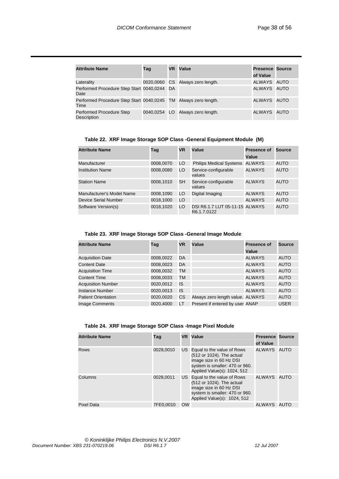| <b>Attribute Name</b>                                                   | Tag | <b>VR</b> Value                  | <b>Presence Source</b><br>of Value |  |
|-------------------------------------------------------------------------|-----|----------------------------------|------------------------------------|--|
| Laterality                                                              |     | 0020,0060 CS Always zero length. | ALWAYS AUTO                        |  |
| Performed Procedure Step Start 0040,0244 DA<br>Date                     |     |                                  | ALWAYS AUTO                        |  |
| Performed Procedure Step Start 0040,0245 TM Always zero length.<br>Time |     |                                  | ALWAYS AUTO                        |  |
| <b>Performed Procedure Step</b><br><b>Description</b>                   |     | 0040,0254 LO Always zero length. | ALWAYS AUTO                        |  |

**Table 22. XRF Image Storage SOP Class -General Equipment Module (M)** 

| <b>Attribute Name</b>       | Taq       | <b>VR</b> | Value                                         | <b>Presence of</b> | Source      |
|-----------------------------|-----------|-----------|-----------------------------------------------|--------------------|-------------|
|                             |           |           |                                               | Value              |             |
| Manufacturer                | 0008,0070 | LO        | <b>Philips Medical Systems</b>                | <b>ALWAYS</b>      | AUTO        |
| <b>Institution Name</b>     | 0008,0080 | LO        | Service-configurable<br>values                | <b>ALWAYS</b>      | <b>AUTO</b> |
| <b>Station Name</b>         | 0008,1010 | SH        | Service-configurable<br>values                | <b>ALWAYS</b>      | AUTO        |
| Manufacturer's Model Name   | 0008,1090 | LO        | Digital Imaging                               | <b>ALWAYS</b>      | AUTO        |
| <b>Device Serial Number</b> | 0018,1000 | LO        |                                               | <b>ALWAYS</b>      | AUTO        |
| Software Version(s)         | 0018,1020 | LO        | DSI R6.1.7 LUT 05-11-15 ALWAYS<br>R6.1.7.0122 |                    | AUTO        |

#### **Table 23. XRF Image Storage SOP Class -General Image Module**

| <b>Attribute Name</b>      | Tag       | <b>VR</b> | Value                            | <b>Presence of</b> | Source      |
|----------------------------|-----------|-----------|----------------------------------|--------------------|-------------|
|                            |           |           |                                  | Value              |             |
| <b>Acquisition Date</b>    | 0008,0022 | DA        |                                  | <b>ALWAYS</b>      | AUTO        |
| <b>Content Date</b>        | 0008,0023 | DA        |                                  | <b>ALWAYS</b>      | <b>AUTO</b> |
| <b>Acquisition Time</b>    | 0008,0032 | TM        |                                  | <b>ALWAYS</b>      | <b>AUTO</b> |
| <b>Content Time</b>        | 0008,0033 | TM        |                                  | <b>ALWAYS</b>      | <b>AUTO</b> |
| <b>Acquisition Number</b>  | 0020,0012 | IS        |                                  | <b>ALWAYS</b>      | <b>AUTO</b> |
| Instance Number            | 0020,0013 | IS        |                                  | <b>ALWAYS</b>      | <b>AUTO</b> |
| <b>Patient Orientation</b> | 0020,0020 | CS        | Always zero length value. ALWAYS |                    | <b>AUTO</b> |
| <b>Image Comments</b>      | 0020,4000 | LT        | Present if entered by user ANAP  |                    | <b>USER</b> |

| <b>Attribute Name</b> | Tag       |           | <b>VR</b> Value                                                                                                                                        | <b>Presence Source</b><br>of Value |  |
|-----------------------|-----------|-----------|--------------------------------------------------------------------------------------------------------------------------------------------------------|------------------------------------|--|
| Rows                  | 0028.0010 |           | US Equal to the value of Rows<br>(512 or 1024). The actual<br>image size in 60 Hz DSI<br>system is smaller: 470 or 960.<br>Applied Value(s): 1024, 512 | ALWAYS AUTO                        |  |
| Columns               | 0028,0011 |           | US Equal to the value of Rows<br>(512 or 1024). The actual<br>image size in 60 Hz DSI<br>system is smaller: 470 or 960.<br>Applied Value(s): 1024, 512 | ALWAYS AUTO                        |  |
| <b>Pixel Data</b>     | 7FE0.0010 | <b>OW</b> |                                                                                                                                                        | ALWAYS AUTO                        |  |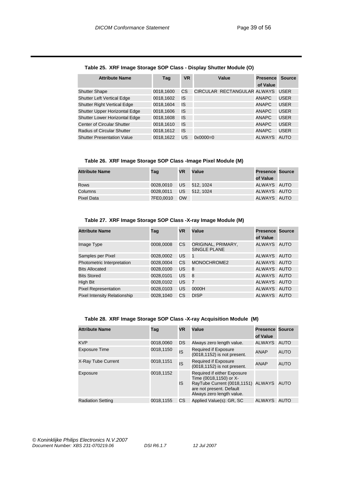| <b>Attribute Name</b>              | Taq       | <b>VR</b> |                     | Value                       | <b>Presence</b><br>of Value | <b>Source</b> |
|------------------------------------|-----------|-----------|---------------------|-----------------------------|-----------------------------|---------------|
| <b>Shutter Shape</b>               | 0018,1600 | CS        |                     | CIRCULAR RECTANGULAR ALWAYS |                             | <b>USER</b>   |
| <b>Shutter Left Vertical Edge</b>  | 0018,1602 | IS        |                     |                             | <b>ANAPC</b>                | <b>USER</b>   |
| <b>Shutter Right Vertical Edge</b> | 0018,1604 | IS        |                     |                             | <b>ANAPC</b>                | <b>USER</b>   |
| Shutter Upper Horizontal Edge      | 0018,1606 | IS        |                     |                             | <b>ANAPC</b>                | <b>USER</b>   |
| Shutter Lower Horizontal Edge      | 0018.1608 | IS        |                     |                             | <b>ANAPC</b>                | <b>USER</b>   |
| Center of Circular Shutter         | 0018,1610 | IS        |                     |                             | <b>ANAPC</b>                | <b>USER</b>   |
| Radius of Circular Shutter         | 0018,1612 | IS        |                     |                             | <b>ANAPC</b>                | <b>USER</b>   |
| <b>Shutter Presentation Value</b>  | 0018.1622 | US        | $0 \times 0000 = 0$ |                             | <b>ALWAYS</b>               | AUTO          |

#### **Table 25. XRF Image Storage SOP Class - Display Shutter Module (O)**

**Table 26. XRF Image Storage SOP Class -Image Pixel Module (M)** 

| <b>Attribute Name</b> | Tag       | <b>VR</b> | Value        | <b>Presence Source</b> |  |
|-----------------------|-----------|-----------|--------------|------------------------|--|
|                       |           |           |              | of Value               |  |
| Rows                  | 0028.0010 |           | US 512, 1024 | ALWAYS AUTO            |  |
| Columns               | 0028.0011 | US.       | 512, 1024    | ALWAYS AUTO            |  |
| Pixel Data            | 7FE0,0010 | OW        |              | ALWAYS AUTO            |  |

#### **Table 27. XRF Image Storage SOP Class -X-ray Image Module (M)**

| <b>Attribute Name</b>               | Tag       | <b>VR</b> | Value                              | <b>Presence Source</b><br>of Value |             |
|-------------------------------------|-----------|-----------|------------------------------------|------------------------------------|-------------|
| Image Type                          | 0008,0008 | <b>CS</b> | ORIGINAL, PRIMARY,<br>SINGLE PLANE | <b>ALWAYS</b>                      | <b>AUTO</b> |
| Samples per Pixel                   | 0028,0002 | US        | $\overline{1}$                     | ALWAYS                             | AUTO        |
| Photometric Interpretation          | 0028,0004 | CS        | MONOCHROME2                        | <b>ALWAYS</b>                      | <b>AUTO</b> |
| <b>Bits Allocated</b>               | 0028,0100 | US        | 8                                  | <b>ALWAYS</b>                      | AUTO        |
| <b>Bits Stored</b>                  | 0028,0101 | US        | 8                                  | <b>ALWAYS</b>                      | AUTO        |
| High Bit                            | 0028,0102 | US        | $\overline{7}$                     | <b>ALWAYS</b>                      | AUTO        |
| <b>Pixel Representation</b>         | 0028,0103 | US        | 0000H                              | <b>ALWAYS</b>                      | AUTO        |
| <b>Pixel Intensity Relationship</b> | 0028,1040 | СS        | <b>DISP</b>                        | <b>ALWAYS</b>                      | AUTO        |

#### **Table 28. XRF Image Storage SOP Class -X-ray Acquisition Module (M)**

| <b>Attribute Name</b>    | Tag       | <b>VR</b> | Value                                                                                                                                                | Presence<br>of Value | Source      |
|--------------------------|-----------|-----------|------------------------------------------------------------------------------------------------------------------------------------------------------|----------------------|-------------|
| <b>KVP</b>               | 0018,0060 | DS        | Always zero length value.                                                                                                                            | <b>ALWAYS</b>        | <b>AUTO</b> |
| <b>Exposure Time</b>     | 0018,1150 | IS        | Required if Exposure<br>(0018,1152) is not present.                                                                                                  | <b>ANAP</b>          | AUTO        |
| X-Ray Tube Current       | 0018,1151 | IS        | Required if Exposure<br>(0018,1152) is not present.                                                                                                  | <b>ANAP</b>          | AUTO        |
| Exposure                 | 0018,1152 | IS        | Required if either Exposure<br>Time (0018,1150) or X-<br>RayTube Current (0018,1151) ALWAYS<br>are not present. Default<br>Always zero length value. |                      | <b>AUTO</b> |
| <b>Radiation Setting</b> | 0018,1155 | CS        | Applied Value(s): GR, SC                                                                                                                             | ALWAYS               | <b>AUTO</b> |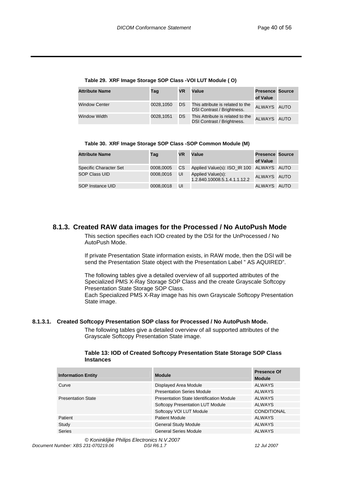| <b>Attribute Name</b> | Tag       | <b>VR</b> | Value                                                          | <b>Presence Source</b><br>of Value |  |
|-----------------------|-----------|-----------|----------------------------------------------------------------|------------------------------------|--|
| <b>Window Center</b>  | 0028.1050 | DS.       | This attribute is related to the<br>DSI Contrast / Brightness. | ALWAYS AUTO                        |  |
| Window Width          | 0028.1051 | DS.       | This Attribute is related to the<br>DSI Contrast / Brightness. | ALWAYS AUTO                        |  |

**Table 29. XRF Image Storage SOP Class -VOI LUT Module ( O)** 

| Table 30. XRF Image Storage SOP Class -SOP Common Module (M) |  |  |  |
|--------------------------------------------------------------|--|--|--|
|                                                              |  |  |  |

| <b>Attribute Name</b>  | Taq       | VR    | Value                                             | <b>Presence Source</b> |  |
|------------------------|-----------|-------|---------------------------------------------------|------------------------|--|
|                        |           |       |                                                   | of Value               |  |
| Specific Character Set | 0008,0005 | CS    | Applied Value(s): ISO_IR 100 ALWAYS AUTO          |                        |  |
| SOP Class UID          | 0008.0016 | UI    | Applied Value(s):<br>1.2.840.10008.5.1.4.1.1.12.2 | ALWAYS AUTO            |  |
| SOP Instance UID       | 0008,0018 | - UI- |                                                   | ALWAYS AUTO            |  |

#### **8.1.3. Created RAW data images for the Processed / No AutoPush Mode**

This section specifies each IOD created by the DSI for the UnProcessed / No AutoPush Mode.

If private Presentation State information exists, in RAW mode, then the DSI will be send the Presentation State object with the Presentation Label " AS AQUIRED".

The following tables give a detailed overview of all supported attributes of the Specialized PMS X-Ray Storage SOP Class and the create Grayscale Softcopy Presentation State Storage SOP Class. Each Specialized PMS X-Ray image has his own Grayscale Softcopy Presentation

State image.

#### **8.1.3.1. Created Softcopy Presentation SOP class for Processed / No AutoPush Mode.**

The following tables give a detailed overview of all supported attributes of the Grayscale Softcopy Presentation State image.

| Table 13: IOD of Created Softcopy Presentation State Storage SOP Class |  |
|------------------------------------------------------------------------|--|
| <b>Instances</b>                                                       |  |

| <b>Information Entity</b> | <b>Module</b>                            | <b>Presence Of</b><br><b>Module</b> |
|---------------------------|------------------------------------------|-------------------------------------|
| Curve                     | Displayed Area Module                    | <b>ALWAYS</b>                       |
|                           | <b>Presentation Series Module</b>        | <b>ALWAYS</b>                       |
| <b>Presentation State</b> | Presentation State Identification Module | <b>ALWAYS</b>                       |
|                           | <b>Softcopy Presentation LUT Module</b>  | ALWAYS                              |
|                           | Softcopy VOI LUT Module                  | <b>CONDITIONAL</b>                  |
| Patient                   | <b>Patient Module</b>                    | <b>ALWAYS</b>                       |
| Study                     | <b>General Study Module</b>              | <b>ALWAYS</b>                       |
| <b>Series</b>             | <b>General Series Module</b>             | <b>ALWAYS</b>                       |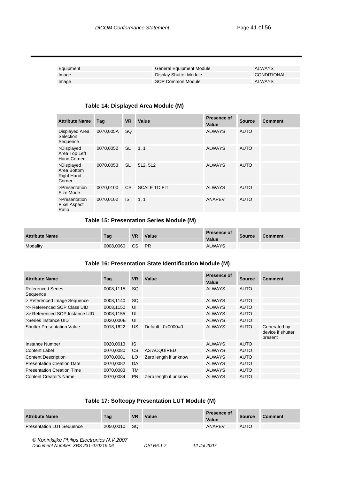| Equipment | General Equipment Module | ALWAYS      |
|-----------|--------------------------|-------------|
| Image     | Display Shutter Module   | CONDITIONAL |
| Image     | SOP Common Module        | ALWAYS      |

#### **Table 14: Displayed Area Module (M)**

| <b>Attribute Name</b>                                    | Tag       | <b>VR</b>      | Value               | Presence of<br>Value | <b>Source</b> | <b>Comment</b> |
|----------------------------------------------------------|-----------|----------------|---------------------|----------------------|---------------|----------------|
| Displayed Area<br>Selection<br>Sequence                  | 0070,005A | <b>SQ</b>      |                     | <b>ALWAYS</b>        | <b>AUTO</b>   |                |
| >Displayed<br>Area Top Left<br><b>Hand Corner</b>        | 0070,0052 | <b>SL</b>      | 1, 1                | <b>ALWAYS</b>        | <b>AUTO</b>   |                |
| >Displayed<br>Area Bottom<br><b>Right Hand</b><br>Corner | 0070,0053 | <b>SL</b>      | 512, 512            | <b>ALWAYS</b>        | <b>AUTO</b>   |                |
| >Presentation<br>Size Mode                               | 0070.0100 | C <sub>S</sub> | <b>SCALE TO FIT</b> | <b>ALWAYS</b>        | <b>AUTO</b>   |                |
| >Presentation<br><b>Pixel Aspect</b><br>Ratio            | 0070,0102 | <b>IS</b>      | 1, 1                | ANAPEV               | <b>AUTO</b>   |                |

#### **Table 15: Presentation Series Module (M)**

| <b>Attribute Name</b> | Tag       | <b>VR</b> | Value     | <b>Presence of</b><br>Value | <b>Source</b> | <b>Comment</b> |
|-----------------------|-----------|-----------|-----------|-----------------------------|---------------|----------------|
| Modality              | 0008.0060 | CS.       | <b>PR</b> | <b>ALWAYS</b>               |               |                |

#### **Table 16: Presentation State Identification Module (M)**

| <b>Attribute Name</b>                | Tag       | <b>VR</b> | Value                 | <b>Presence of</b><br>Value | <b>Source</b> | <b>Comment</b>                               |
|--------------------------------------|-----------|-----------|-----------------------|-----------------------------|---------------|----------------------------------------------|
| <b>Referenced Series</b><br>Sequence | 0008,1115 | <b>SQ</b> |                       | <b>ALWAYS</b>               | <b>AUTO</b>   |                                              |
| > Referenced Image Sequence          | 0008,1140 | <b>SQ</b> |                       | <b>ALWAYS</b>               | <b>AUTO</b>   |                                              |
| >> Referenced SOP Class UID          | 0008,1150 | UI        |                       | <b>ALWAYS</b>               | <b>AUTO</b>   |                                              |
| >> Referenced SOP Instance UID       | 0008,1155 | UI        |                       | <b>ALWAYS</b>               | <b>AUTO</b>   |                                              |
| >Series Instance UID                 | 0020,000E | UI        |                       | <b>ALWAYS</b>               | <b>AUTO</b>   |                                              |
| <b>Shutter Presentation Value</b>    | 0018,1622 | <b>US</b> | Default: $0x0000=0$   | <b>ALWAYS</b>               | <b>AUTO</b>   | Generated by<br>device if shutter<br>present |
| Instance Number                      | 0020,0013 | <b>IS</b> |                       | <b>ALWAYS</b>               | <b>AUTO</b>   |                                              |
| <b>Content Label</b>                 | 0070,0080 | <b>CS</b> | AS ACQUIRED           | <b>ALWAYS</b>               | <b>AUTO</b>   |                                              |
| <b>Content Description</b>           | 0070,0081 | LO        | Zero length if unknow | <b>ALWAYS</b>               | <b>AUTO</b>   |                                              |
| <b>Presentation Creation Date</b>    | 0070,0082 | DA        |                       | <b>ALWAYS</b>               | <b>AUTO</b>   |                                              |
| <b>Presentation Creation Time</b>    | 0070,0083 | <b>TM</b> |                       | <b>ALWAYS</b>               | <b>AUTO</b>   |                                              |
| <b>Content Creator's Name</b>        | 0070.0084 | <b>PN</b> | Zero length if unknow | <b>ALWAYS</b>               | <b>AUTO</b>   |                                              |

#### **Table 17: Softcopy Presentation LUT Module (M)**

| <b>Attribute Name</b>            | Tag       | <b>VR</b> | Value | <b>Presence of</b><br>Value | <b>Source</b> | <b>Comment</b> |
|----------------------------------|-----------|-----------|-------|-----------------------------|---------------|----------------|
| <b>Presentation LUT Sequence</b> | 2050.0010 | - SQ      |       | <b>ANAPEV</b>               | <b>AUTO</b>   |                |

*© Koninklijke Philips Electronics N.V.2007 Document Number: XBS 231-070219.06 DSI R6.1.7 12 Jul 2007*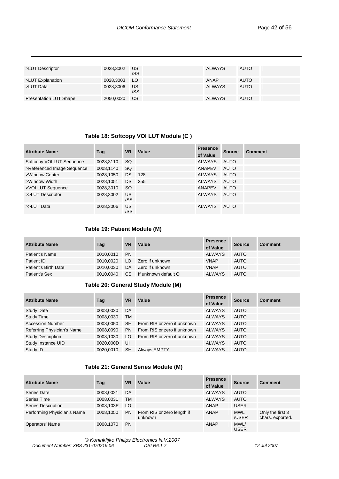| >LUT Descriptor               | 0028,3002    | US.<br>/SS | <b>ALWAYS</b> | <b>AUTO</b> |  |
|-------------------------------|--------------|------------|---------------|-------------|--|
| >LUT Explanation              | 0028,3003 LO |            | ANAP          | <b>AUTO</b> |  |
| >LUT Data                     | 0028,3006    | US.<br>/SS | ALWAYS        | <b>AUTO</b> |  |
| <b>Presentation LUT Shape</b> | 2050,0020    | CS.        | <b>ALWAYS</b> | <b>AUTO</b> |  |

#### **Table 18: Softcopy VOI LUT Module (C )**

| <b>Attribute Name</b>      | Taq       | <b>VR</b> | Value | <b>Presence</b><br>of Value | <b>Source</b> | Comment |
|----------------------------|-----------|-----------|-------|-----------------------------|---------------|---------|
| Softcopy VOI LUT Sequence  | 0028,3110 | <b>SQ</b> |       | ALWAYS                      | AUTO          |         |
| >Referenced Image Sequence | 0008,1140 | <b>SQ</b> |       | ANAPEV                      | <b>AUTO</b>   |         |
| >Window Center             | 0028,1050 | <b>DS</b> | 128   | <b>ALWAYS</b>               | AUTO          |         |
| >Window Width              | 0028,1051 | DS.       | 255   | <b>ALWAYS</b>               | <b>AUTO</b>   |         |
| >VOI LUT Sequence          | 0028,3010 | <b>SQ</b> |       | ANAPEV                      | <b>AUTO</b>   |         |
| >>LUT Descriptor           | 0028.3002 | US<br>/SS |       | <b>ALWAYS</b>               | <b>AUTO</b>   |         |
| >>LUT Data                 | 0028,3006 | US<br>/SS |       | <b>ALWAYS</b>               | <b>AUTO</b>   |         |

#### **Table 19: Patient Module (M)**

| <b>Attribute Name</b> | Tag       | <b>VR</b>     | Value                | <b>Presence</b><br>of Value | <b>Source</b> | <b>Comment</b> |
|-----------------------|-----------|---------------|----------------------|-----------------------------|---------------|----------------|
| Patient's Name        | 0010.0010 | <b>PN</b>     |                      | <b>ALWAYS</b>               | <b>AUTO</b>   |                |
| Patient ID            | 0010.0020 | LO.           | Zero if unknown      | <b>VNAP</b>                 | <b>AUTO</b>   |                |
| Patient's Birth Date  | 0010.0030 | DA            | Zero if unknown      | <b>VNAP</b>                 | <b>AUTO</b>   |                |
| Patient's Sex         | 0010.0040 | <sub>CS</sub> | If unknown default O | <b>ALWAYS</b>               | <b>AUTO</b>   |                |

#### **Table 20: General Study Module (M)**

| <b>Attribute Name</b>      | Tag       | <b>VR</b> | Value                       | <b>Presence</b><br>of Value | <b>Source</b> | <b>Comment</b> |
|----------------------------|-----------|-----------|-----------------------------|-----------------------------|---------------|----------------|
| <b>Study Date</b>          | 0008,0020 | DA        |                             | <b>ALWAYS</b>               | <b>AUTO</b>   |                |
| <b>Study Time</b>          | 0008,0030 | TM        |                             | <b>ALWAYS</b>               | <b>AUTO</b>   |                |
| <b>Accession Number</b>    | 0008,0050 | <b>SH</b> | From RIS or zero if unknown | <b>ALWAYS</b>               | <b>AUTO</b>   |                |
| Referring Physician's Name | 0008,0090 | <b>PN</b> | From RIS or zero if unknown | <b>ALWAYS</b>               | <b>AUTO</b>   |                |
| <b>Study Description</b>   | 0008,1030 | LO        | From RIS or zero if unknown | <b>ALWAYS</b>               | <b>AUTO</b>   |                |
| Study Instance UID         | 0020,000D | UI        |                             | <b>ALWAYS</b>               | <b>AUTO</b>   |                |
| Study ID                   | 0020.0010 | <b>SH</b> | <b>Always EMPTY</b>         | <b>ALWAYS</b>               | <b>AUTO</b>   |                |

#### **Table 21: General Series Module (M)**

| <b>Attribute Name</b>       | Tag       | <b>VR</b> | Value                                 | <b>Presence</b><br>of Value | <b>Source</b>       | <b>Comment</b>                       |
|-----------------------------|-----------|-----------|---------------------------------------|-----------------------------|---------------------|--------------------------------------|
| Series Date                 | 0008,0021 | DA        |                                       | <b>ALWAYS</b>               | <b>AUTO</b>         |                                      |
| Series Time                 | 0008,0031 | <b>TM</b> |                                       | <b>ALWAYS</b>               | <b>AUTO</b>         |                                      |
| <b>Series Description</b>   | 0008,103E | LO        |                                       | ANAP                        | <b>USER</b>         |                                      |
| Performing Physician's Name | 0008,1050 | <b>PN</b> | From RIS or zero length if<br>unknown | ANAP                        | <b>MWL</b><br>/USER | Only the first 3<br>chars. exported. |
| <b>Operators' Name</b>      | 0008.1070 | <b>PN</b> |                                       | ANAP                        | MWL/<br><b>USER</b> |                                      |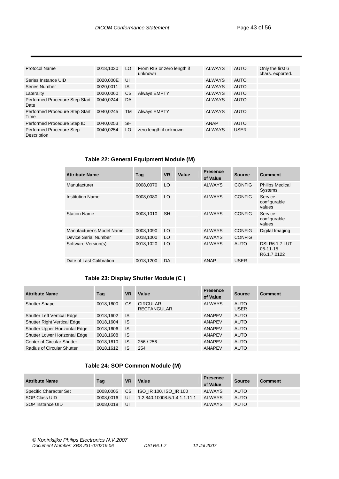| <b>Protocol Name</b>                    | 0018,1030 | LO.       | From RIS or zero length if<br>unknown | ALWAYS        | <b>AUTO</b> | Only the first 6<br>chars. exported. |
|-----------------------------------------|-----------|-----------|---------------------------------------|---------------|-------------|--------------------------------------|
| Series Instance UID                     | 0020,000E | UI        |                                       | <b>ALWAYS</b> | <b>AUTO</b> |                                      |
| Series Number                           | 0020,0011 | <b>IS</b> |                                       | <b>ALWAYS</b> | <b>AUTO</b> |                                      |
| Laterality                              | 0020,0060 | <b>CS</b> | <b>Always EMPTY</b>                   | <b>ALWAYS</b> | <b>AUTO</b> |                                      |
| Performed Procedure Step Start<br>Date  | 0040.0244 | DA        |                                       | <b>ALWAYS</b> | <b>AUTO</b> |                                      |
| Performed Procedure Step Start<br>Time  | 0040,0245 | TM        | <b>Always EMPTY</b>                   | <b>ALWAYS</b> | <b>AUTO</b> |                                      |
| Performed Procedure Step ID             | 0040,0253 | <b>SH</b> |                                       | ANAP          | <b>AUTO</b> |                                      |
| Performed Procedure Step<br>Description | 0040.0254 | LO        | zero length if unknown                | <b>ALWAYS</b> | <b>USER</b> |                                      |

#### **Table 22: General Equipment Module (M)**

| <b>Attribute Name</b>     | Tag       | <b>VR</b> | Value | <b>Presence</b><br>of Value | <b>Source</b> | Comment                                                |
|---------------------------|-----------|-----------|-------|-----------------------------|---------------|--------------------------------------------------------|
| Manufacturer              | 0008,0070 | LO        |       | <b>ALWAYS</b>               | <b>CONFIG</b> | <b>Philips Medical</b><br><b>Systems</b>               |
| <b>Institution Name</b>   | 0008,0080 | LO        |       | <b>ALWAYS</b>               | <b>CONFIG</b> | Service-<br>configurable<br>values                     |
| <b>Station Name</b>       | 0008.1010 | <b>SH</b> |       | <b>ALWAYS</b>               | <b>CONFIG</b> | Service-<br>configurable<br>values                     |
| Manufacturer's Model Name | 0008,1090 | LO        |       | <b>ALWAYS</b>               | <b>CONFIG</b> | Digital Imaging                                        |
| Device Serial Number      | 0018,1000 | LO        |       | <b>ALWAYS</b>               | <b>CONFIG</b> |                                                        |
| Software Version(s)       | 0018.1020 | LO        |       | <b>ALWAYS</b>               | <b>AUTO</b>   | <b>DSI R6.1.7 LUT</b><br>$05 - 11 - 15$<br>R6.1.7.0122 |
| Date of Last Calibration  | 0018,1200 | DA        |       | <b>ANAP</b>                 | <b>USER</b>   |                                                        |

#### **Table 23: Display Shutter Module (C )**

| <b>Attribute Name</b>             | Taq       | <b>VR</b> | Value                     | <b>Presence</b><br>of Value | <b>Source</b>              | <b>Comment</b> |
|-----------------------------------|-----------|-----------|---------------------------|-----------------------------|----------------------------|----------------|
| <b>Shutter Shape</b>              | 0018.1600 | CS.       | CIRCULAR,<br>RECTANGULAR, | <b>ALWAYS</b>               | <b>AUTO</b><br><b>USER</b> |                |
| <b>Shutter Left Vertical Edge</b> | 0018,1602 | - IS      |                           | ANAPEV                      | <b>AUTO</b>                |                |
| Shutter Right Vertical Edge       | 0018,1604 | <b>IS</b> |                           | <b>ANAPEV</b>               | <b>AUTO</b>                |                |
| Shutter Upper Horizontal Edge     | 0018,1606 | <b>IS</b> |                           | ANAPEV                      | <b>AUTO</b>                |                |
| Shutter Lower Horizontal Edge     | 0018,1608 | <b>IS</b> |                           | ANAPEV                      | <b>AUTO</b>                |                |
| Center of Circular Shutter        | 0018,1610 | <b>IS</b> | 256 / 256                 | ANAPEV                      | <b>AUTO</b>                |                |
| Radius of Circular Shutter        | 0018.1612 | <b>IS</b> | 254                       | ANAPEV                      | <b>AUTO</b>                |                |

#### **Table 24: SOP Common Module (M)**

| <b>Attribute Name</b>  | Tag       | <b>VR</b> | Value                        | <b>Presence</b><br>of Value | <b>Source</b> | <b>Comment</b> |
|------------------------|-----------|-----------|------------------------------|-----------------------------|---------------|----------------|
| Specific Character Set | 0008.0005 | CS.       | ISO IR 100, ISO IR 100       | <b>ALWAYS</b>               | <b>AUTO</b>   |                |
| SOP Class UID          | 0008.0016 | UI        | 1.2.840.10008.5.1.4.1.1.11.1 | ALWAYS                      | <b>AUTO</b>   |                |
| SOP Instance UID       | 0008.0018 | UI        |                              | <b>ALWAYS</b>               | <b>AUTO</b>   |                |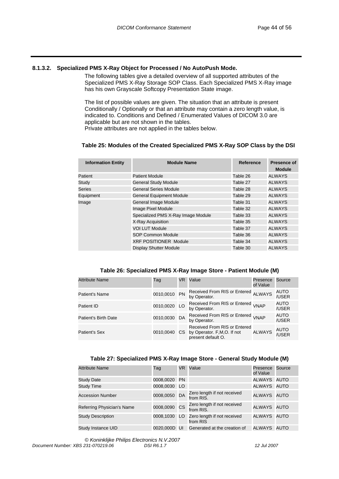#### **8.1.3.2. Specialized PMS X-Ray Object for Processed / No AutoPush Mode.**

The following tables give a detailed overview of all supported attributes of the Specialized PMS X-Ray Storage SOP Class. Each Specialized PMS X-Ray image has his own Grayscale Softcopy Presentation State image.

The list of possible values are given. The situation that an attribute is present Conditionally / Optionally or that an attribute may contain a zero length value, is indicated to. Conditions and Defined / Enumerated Values of DICOM 3.0 are applicable but are not shown in the tables.

Private attributes are not applied in the tables below.

#### **Table 25: Modules of the Created Specialized PMS X-Ray SOP Class by the DSI**

| <b>Module Name</b>                 | Reference | <b>Presence of</b><br><b>Module</b> |
|------------------------------------|-----------|-------------------------------------|
| <b>Patient Module</b>              | Table 26  | <b>ALWAYS</b>                       |
| <b>General Study Module</b>        | Table 27  | <b>ALWAYS</b>                       |
| General Series Module              | Table 28  | ALWAYS                              |
| <b>General Equipment Module</b>    | Table 29  | <b>ALWAYS</b>                       |
| <b>General Image Module</b>        | Table 31  | <b>ALWAYS</b>                       |
| Image Pixel Module                 | Table 32  | <b>ALWAYS</b>                       |
| Specialized PMS X-Ray Image Module | Table 33  | <b>ALWAYS</b>                       |
| X-Ray Acquisition                  | Table 35  | <b>ALWAYS</b>                       |
| <b>VOI LUT Module</b>              | Table 37  | <b>ALWAYS</b>                       |
| <b>SOP Common Module</b>           | Table 36  | <b>ALWAYS</b>                       |
| <b>XRF POSITIONER Module</b>       | Table 34  | <b>ALWAYS</b>                       |
| <b>Display Shutter Module</b>      | Table 30  | ALWAYS                              |
|                                    |           |                                     |

#### **Table 26: Specialized PMS X-Ray Image Store - Patient Module (M)**

| <b>Attribute Name</b> | Tag          | VR   | Value                                                                            | Presence<br>of Value | Source               |
|-----------------------|--------------|------|----------------------------------------------------------------------------------|----------------------|----------------------|
| Patient's Name        | 0010,0010 PN |      | Received From RIS or Entered<br>by Operator.                                     | <b>ALWAYS</b>        | AUTO<br>/USER        |
| Patient ID            | 0010,0020 LO |      | Received From RIS or Entered <sub>VNAP</sub><br>by Operator.                     |                      | AUTO<br>/USER        |
| Patient's Birth Date  | 0010,0030 DA |      | Received From RIS or Entered <sub>VNAP</sub><br>by Operator.                     |                      | <b>AUTO</b><br>/USER |
| Patient's Sex         | 0010,0040    | CS I | Received From RIS or Entered<br>by Operator. F,M,O. If not<br>present default O. | <b>ALWAYS</b>        | <b>AUTO</b><br>/USER |

#### **Table 27: Specialized PMS X-Ray Image Store - General Study Module (M)**

| <b>Attribute Name</b>      | Tag          |                 | VR Value                                   | Presence<br>of Value | Source |
|----------------------------|--------------|-----------------|--------------------------------------------|----------------------|--------|
| <b>Study Date</b>          | 0008,0020 PN |                 |                                            | ALWAYS AUTO          |        |
| <b>Study Time</b>          | 0008,0030    | LO <sub>1</sub> |                                            | ALWAYS AUTO          |        |
| <b>Accession Number</b>    | 0008,0050 DA |                 | Zero length if not received<br>from RIS.   | ALWAYS AUTO          |        |
| Referring Physician's Name | 0008,0090 CS |                 | Zero length if not received<br>from RIS.   | ALWAYS AUTO          |        |
| <b>Study Description</b>   | 0008,1030    |                 | LO Zero length if not received<br>from RIS | ALWAYS AUTO          |        |
| Study Instance UID         | 0020.000D UI |                 | Generated at the creation of               | ALWAYS AUTO          |        |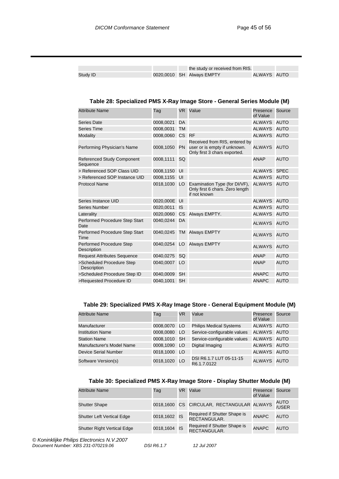|          |  | the study or received from RIS. |             |  |
|----------|--|---------------------------------|-------------|--|
| Study ID |  | 0020,0010 SH Always EMPTY       | ALWAYS AUTO |  |

#### **Table 28: Specialized PMS X-Ray Image Store - General Series Module (M)**

| <b>Attribute Name</b>                          | Tag       | VR.       | Value                                                                                         | Presence<br>of Value | Source      |
|------------------------------------------------|-----------|-----------|-----------------------------------------------------------------------------------------------|----------------------|-------------|
| Series Date                                    | 0008,0021 | DA        |                                                                                               | <b>ALWAYS</b>        | <b>AUTO</b> |
| <b>Series Time</b>                             | 0008,0031 | <b>TM</b> |                                                                                               | <b>ALWAYS</b>        | <b>AUTO</b> |
| <b>Modality</b>                                | 0008,0060 | CS RF     |                                                                                               | <b>ALWAYS</b>        | <b>AUTO</b> |
| Performing Physician's Name                    | 0008,1050 | <b>PN</b> | Received from RIS, entered by<br>user or is empty if unknown.<br>Only first 3 chars exported. | <b>ALWAYS</b>        | <b>AUTO</b> |
| <b>Referenced Study Component</b><br>Sequence  | 0008,1111 | SQ        |                                                                                               | <b>ANAP</b>          | <b>AUTO</b> |
| > Referenced SOP Class UID                     | 0008,1150 | UI        |                                                                                               | <b>ALWAYS</b>        | <b>SPEC</b> |
| > Referenced SOP Instance UID                  | 0008,1155 | UI        |                                                                                               | <b>ALWAYS</b>        | <b>AUTO</b> |
| <b>Protocol Name</b>                           | 0018,1030 | LO        | Examination Type (for DI/VF),<br>Only first 6 chars. Zero length<br>if not known              | <b>ALWAYS</b>        | <b>AUTO</b> |
| Series Instance UID                            | 0020,000E | UI        |                                                                                               | <b>ALWAYS</b>        | <b>AUTO</b> |
| Series Number                                  | 0020.0011 | IS        |                                                                                               | <b>ALWAYS</b>        | <b>AUTO</b> |
| Laterality                                     | 0020,0060 | CS.       | Always EMPTY.                                                                                 | <b>ALWAYS</b>        | <b>AUTO</b> |
| Performed Procedure Step Start<br>Date         | 0040,0244 | DA        |                                                                                               | <b>ALWAYS</b>        | <b>AUTO</b> |
| Performed Procedure Step Start<br>Time         | 0040,0245 |           | TM Always EMPTY                                                                               | <b>ALWAYS</b>        | <b>AUTO</b> |
| <b>Performed Procedure Step</b><br>Description | 0040,0254 | LO        | <b>Always EMPTY</b>                                                                           | <b>ALWAYS</b>        | <b>AUTO</b> |
| <b>Request Attributes Sequence</b>             | 0040,0275 | SQ        |                                                                                               | <b>ANAP</b>          | <b>AUTO</b> |
| >Scheduled Procedure Step<br>Description       | 0040,0007 | LO        |                                                                                               | <b>ANAP</b>          | <b>AUTO</b> |
| >Scheduled Procedure Step ID                   | 0040,0009 | <b>SH</b> |                                                                                               | <b>ANAPC</b>         | <b>AUTO</b> |
| >Requested Procedure ID                        | 0040,1001 | <b>SH</b> |                                                                                               | <b>ANAPC</b>         | <b>AUTO</b> |
|                                                |           |           |                                                                                               |                      |             |

#### **Table 29: Specialized PMS X-Ray Image Store - General Equipment Module (M)**

| <b>Attribute Name</b>       | Taq          | VR  | Value                                  | Presence<br>of Value | Source |
|-----------------------------|--------------|-----|----------------------------------------|----------------------|--------|
| Manufacturer                | 0008,0070    | LO. | <b>Philips Medical Systems</b>         | ALWAYS AUTO          |        |
| <b>Institution Name</b>     | 0008,0080    | LO  | Service-configurable values            | ALWAYS AUTO          |        |
| <b>Station Name</b>         | 0008,1010 SH |     | Service-configurable values            | ALWAYS AUTO          |        |
| Manufacturer's Model Name   | 0008,1090    | LO  | Digital Imaging                        | ALWAYS AUTO          |        |
| <b>Device Serial Number</b> | 0018,1000 LO |     |                                        | ALWAYS AUTO          |        |
| Software Version(s)         | 0018,1020 LO |     | DSI R6.1.7 LUT 05-11-15<br>R6.1.7.0122 | ALWAYS AUTO          |        |

#### **Table 30: Specialized PMS X-Ray Image Store - Display Shutter Module (M)**

| <b>Attribute Name</b>              | Tag          | VR. | Value                                        | Presence<br>of Value | Source        |
|------------------------------------|--------------|-----|----------------------------------------------|----------------------|---------------|
| <b>Shutter Shape</b>               |              |     | 0018,1600 CS CIRCULAR, RECTANGULAR ALWAYS    |                      | AUTO<br>/USER |
| <b>Shutter Left Vertical Edge</b>  | 0018,1602 IS |     | Required if Shutter Shape is<br>RECTANGULAR. | <b>ANAPC</b>         | AUTO          |
| <b>Shutter Right Vertical Edge</b> | 0018,1604 IS |     | Required if Shutter Shape is<br>RECTANGULAR. | <b>ANAPC</b>         | AUTO          |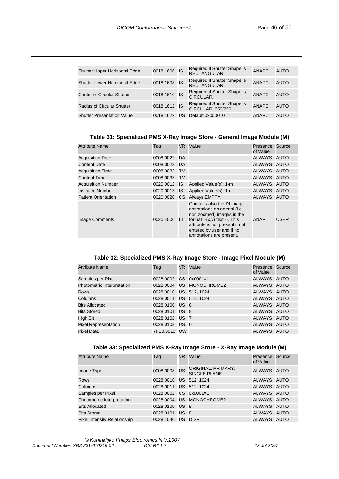| Shutter Upper Horizontal Edge        | 0018,1606 IS |    | Required if Shutter Shape is<br>RECTANGULAR.             | <b>ANAPC</b> | AUTO |
|--------------------------------------|--------------|----|----------------------------------------------------------|--------------|------|
| <b>Shutter Lower Horizontal Edge</b> | 0018,1608 IS |    | Required if Shutter Shape is<br>RECTANGULAR.             | <b>ANAPC</b> | AUTO |
| <b>Center of Circular Shutter</b>    | 0018,1610 IS |    | Required if Shutter Shape is<br>CIRCULAR.                | <b>ANAPC</b> | AUTO |
| <b>Radius of Circular Shutter</b>    | 0018,1612 IS |    | Required if Shutter Shape is<br><b>CIRCULAR. 256/256</b> | <b>ANAPC</b> | AUTO |
| <b>Shutter Presentation Value</b>    | 0018.1622    | US | Default 0x0000=0                                         | <b>ANAPC</b> | AUTO |

#### **Table 31: Specialized PMS X-Ray Image Store - General Image Module (M)**

| <b>Attribute Name</b>      | Tag          | VR. | Value                                                                                                                                                                                                                 | Presence<br>of Value | Source |
|----------------------------|--------------|-----|-----------------------------------------------------------------------------------------------------------------------------------------------------------------------------------------------------------------------|----------------------|--------|
| <b>Acquisition Date</b>    | 0008,0022 DA |     |                                                                                                                                                                                                                       | ALWAYS AUTO          |        |
| <b>Content Date</b>        | 0008,0023 DA |     |                                                                                                                                                                                                                       | ALWAYS AUTO          |        |
| <b>Acquisition Time</b>    | 0008,0032 TM |     |                                                                                                                                                                                                                       | ALWAYS AUTO          |        |
| <b>Content Time</b>        | 0008,0033 TM |     |                                                                                                                                                                                                                       | ALWAYS AUTO          |        |
| <b>Acquisition Number</b>  | 0020,0012 IS |     | Applied Value(s): 1-m                                                                                                                                                                                                 | ALWAYS AUTO          |        |
| <b>Instance Number</b>     | 0020,0013 IS |     | Applied Value(s): 1-n                                                                                                                                                                                                 | ALWAYS AUTO          |        |
| <b>Patient Orientation</b> |              |     | 0020,0020 CS Always EMPTY.                                                                                                                                                                                            | ALWAYS AUTO          |        |
| <b>Image Comments</b>      | 0020,4000    | LT. | Contains also the DI image<br>annotations on normal (i.e.<br>non zoomed) images in the<br>format $-(x,y)$ text $-$ . This<br>attribute is not present if not<br>entered by user and if no<br>annotations are present. | <b>ANAP</b>          | USER   |

#### **Table 32: Specialized PMS X-Ray Image Store - Image Pixel Module (M)**

| Tag |  |                                                                                                                                                                                                           |                                                                                                                                                                    |
|-----|--|-----------------------------------------------------------------------------------------------------------------------------------------------------------------------------------------------------------|--------------------------------------------------------------------------------------------------------------------------------------------------------------------|
|     |  |                                                                                                                                                                                                           |                                                                                                                                                                    |
|     |  |                                                                                                                                                                                                           |                                                                                                                                                                    |
|     |  |                                                                                                                                                                                                           |                                                                                                                                                                    |
|     |  |                                                                                                                                                                                                           |                                                                                                                                                                    |
|     |  |                                                                                                                                                                                                           |                                                                                                                                                                    |
|     |  |                                                                                                                                                                                                           |                                                                                                                                                                    |
|     |  |                                                                                                                                                                                                           |                                                                                                                                                                    |
|     |  |                                                                                                                                                                                                           |                                                                                                                                                                    |
|     |  |                                                                                                                                                                                                           |                                                                                                                                                                    |
|     |  | VR Value<br>0028.0002 CS 0x0001=1<br>0028,0004 US MONOCHROME2<br>0028,0010 US 512, 1024<br>0028,0011 US 512, 1024<br>0028,0100 US 8<br>0028,0101 US 8<br>0028,0102 US 7<br>0028,0103 US 0<br>7FE0,0010 OW | Presence Source<br>of Value<br>ALWAYS AUTO<br>ALWAYS AUTO<br>ALWAYS AUTO<br>ALWAYS AUTO<br>ALWAYS AUTO<br>ALWAYS AUTO<br>ALWAYS AUTO<br>ALWAYS AUTO<br>ALWAYS AUTO |

#### **Table 33: Specialized PMS X-Ray Image Store - X-Ray Image Module (M)**

| <b>Attribute Name</b>               | Tag                    | VR Value                                  | Presence<br>of Value | Source |
|-------------------------------------|------------------------|-------------------------------------------|----------------------|--------|
| Image Type                          | 0008,0008 US           | ORIGINAL, PRIMARY,<br><b>SINGLE PLANE</b> | ALWAYS AUTO          |        |
| <b>Rows</b>                         | 0028,0010 US 512, 1024 |                                           | ALWAYS AUTO          |        |
| Columns                             | 0028,0011 US 512, 1024 |                                           | ALWAYS AUTO          |        |
| Samples per Pixel                   | 0028.0002 CS 0x0001=1  |                                           | ALWAYS AUTO          |        |
| Photometric Interpretation          |                        | 0028,0004 US MONOCHROME2                  | ALWAYS AUTO          |        |
| <b>Bits Allocated</b>               | 0028,0100 US 8         |                                           | ALWAYS AUTO          |        |
| <b>Bits Stored</b>                  | 0028,0101 US 8         |                                           | ALWAYS AUTO          |        |
| <b>Pixel Intensity Relationship</b> | 0028,1040 US DISP      |                                           | ALWAYS AUTO          |        |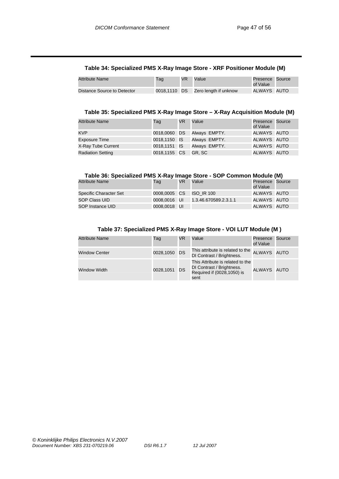#### **Table 34: Specialized PMS X-Ray Image Store - XRF Positioner Module (M)**

| Attribute Name              | Tag | VR | Value                              | Presence Source<br>of Value |  |
|-----------------------------|-----|----|------------------------------------|-----------------------------|--|
| Distance Source to Detector |     |    | 0018,1110 DS Zero length if unknow | ALWAYS AUTO                 |  |

#### **Table 35: Specialized PMS X-Ray Image Store – X-Ray Acquisition Module (M)**

| <b>Attribute Name</b>    | Tag          | <b>VR</b> | Value         | Presence Source<br>of Value |  |
|--------------------------|--------------|-----------|---------------|-----------------------------|--|
| <b>KVP</b>               | 0018,0060 DS |           | Always EMPTY. | ALWAYS AUTO                 |  |
| <b>Exposure Time</b>     | 0018,1150 IS |           | Always EMPTY. | ALWAYS AUTO                 |  |
| X-Ray Tube Current       | 0018,1151 IS |           | Always EMPTY. | ALWAYS AUTO                 |  |
| <b>Radiation Setting</b> | 0018,1155 CS |           | GR. SC        | ALWAYS AUTO                 |  |

#### **Table 36: Specialized PMS X-Ray Image Store - SOP Common Module (M)**

| <b>Attribute Name</b>  | Tag          | <b>VR</b> | Value                 | Presence Source<br>of Value |  |
|------------------------|--------------|-----------|-----------------------|-----------------------------|--|
| Specific Character Set | 0008,0005 CS |           | <b>ISO IR 100</b>     | ALWAYS AUTO                 |  |
| SOP Class UID          | 0008.0016 UI |           | 1.3.46.670589.2.3.1.1 | ALWAYS AUTO                 |  |
| SOP Instance UID       | 0008,0018 UI |           |                       | ALWAYS AUTO                 |  |

#### **Table 37: Specialized PMS X-Ray Image Store - VOI LUT Module (M )**

| <b>Attribute Name</b> | Tag          | VR | Value                                                                                               | Presence<br>of Value | Source |
|-----------------------|--------------|----|-----------------------------------------------------------------------------------------------------|----------------------|--------|
| <b>Window Center</b>  | 0028,1050 DS |    | This attribute is related to the<br>DI Contrast / Brightness.                                       | ALWAYS AUTO          |        |
| <b>Window Width</b>   | 0028,1051 DS |    | This Attribute is related to the<br>DI Contrast / Brightness.<br>Required if (0028,1050) is<br>sent | ALWAYS AUTO          |        |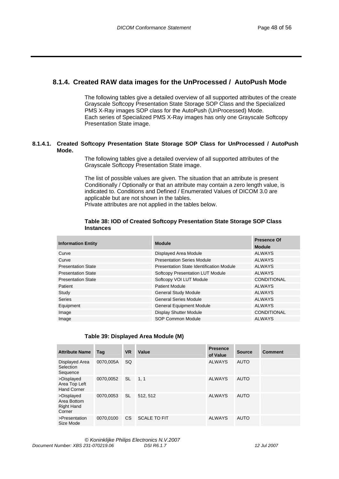#### **8.1.4. Created RAW data images for the UnProcessed / AutoPush Mode**

The following tables give a detailed overview of all supported attributes of the create Grayscale Softcopy Presentation State Storage SOP Class and the Specialized PMS X-Ray images SOP class for the AutoPush (UnProcessed) Mode. Each series of Specialized PMS X-Ray images has only one Grayscale Softcopy Presentation State image.

#### **8.1.4.1. Created Softcopy Presentation State Storage SOP Class for UnProcessed / AutoPush Mode.**

The following tables give a detailed overview of all supported attributes of the Grayscale Softcopy Presentation State image.

The list of possible values are given. The situation that an attribute is present Conditionally / Optionally or that an attribute may contain a zero length value, is indicated to. Conditions and Defined / Enumerated Values of DICOM 3.0 are applicable but are not shown in the tables.

Private attributes are not applied in the tables below.

| <b>Information Entity</b> | <b>Module</b>                            | <b>Presence Of</b> |
|---------------------------|------------------------------------------|--------------------|
|                           |                                          | <b>Module</b>      |
| Curve                     | Displayed Area Module                    | <b>ALWAYS</b>      |
| Curve                     | <b>Presentation Series Module</b>        | <b>ALWAYS</b>      |
| <b>Presentation State</b> | Presentation State Identification Module | <b>ALWAYS</b>      |
| <b>Presentation State</b> | <b>Softcopy Presentation LUT Module</b>  | <b>ALWAYS</b>      |
| <b>Presentation State</b> | Softcopy VOI LUT Module                  | <b>CONDITIONAL</b> |
| Patient                   | <b>Patient Module</b>                    | <b>ALWAYS</b>      |
| Study                     | <b>General Study Module</b>              | <b>ALWAYS</b>      |
| <b>Series</b>             | <b>General Series Module</b>             | <b>ALWAYS</b>      |
| Equipment                 | <b>General Equipment Module</b>          | <b>ALWAYS</b>      |
| Image                     | <b>Display Shutter Module</b>            | <b>CONDITIONAL</b> |
| Image                     | SOP Common Module                        | <b>ALWAYS</b>      |

#### **Table 38: IOD of Created Softcopy Presentation State Storage SOP Class Instances**

#### **Table 39: Displayed Area Module (M)**

| <b>Attribute Name</b>                                    | Taq       | <b>VR</b> | Value               | <b>Presence</b><br>of Value | <b>Source</b> | <b>Comment</b> |
|----------------------------------------------------------|-----------|-----------|---------------------|-----------------------------|---------------|----------------|
| Displayed Area<br>Selection<br>Sequence                  | 0070.005A | <b>SQ</b> |                     | <b>ALWAYS</b>               | <b>AUTO</b>   |                |
| >Displayed<br>Area Top Left<br><b>Hand Corner</b>        | 0070,0052 | <b>SL</b> | 1.1                 | <b>ALWAYS</b>               | <b>AUTO</b>   |                |
| >Displayed<br>Area Bottom<br><b>Right Hand</b><br>Corner | 0070.0053 | <b>SL</b> | 512.512             | <b>ALWAYS</b>               | <b>AUTO</b>   |                |
| >Presentation<br>Size Mode                               | 0070.0100 | CS.       | <b>SCALE TO FIT</b> | <b>ALWAYS</b>               | <b>AUTO</b>   |                |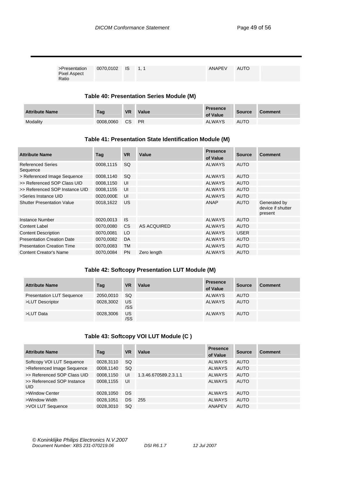| >Presentation 0070,0102 IS 1, 1<br>Pixel Aspect<br>Ratio |  |  |  | ANAPEV | AUTO |  |
|----------------------------------------------------------|--|--|--|--------|------|--|
|----------------------------------------------------------|--|--|--|--------|------|--|

#### **Table 40: Presentation Series Module (M)**

| <b>Attribute Name</b> | Tag       | <b>VR</b> | Value     | <b>Presence</b><br>of Value | <b>Source</b> | <b>Comment</b> |
|-----------------------|-----------|-----------|-----------|-----------------------------|---------------|----------------|
| Modality              | 0008.0060 | CS.       | <b>PR</b> | <b>ALWAYS</b>               | <b>AUTO</b>   |                |

#### **Table 41: Presentation State Identification Module (M)**

| <b>Attribute Name</b>                | Tag       | <b>VR</b> | Value       | <b>Presence</b><br>of Value | <b>Source</b> | <b>Comment</b>                               |
|--------------------------------------|-----------|-----------|-------------|-----------------------------|---------------|----------------------------------------------|
| <b>Referenced Series</b><br>Sequence | 0008,1115 | <b>SQ</b> |             | <b>ALWAYS</b>               | <b>AUTO</b>   |                                              |
| > Referenced Image Sequence          | 0008,1140 | <b>SQ</b> |             | <b>ALWAYS</b>               | <b>AUTO</b>   |                                              |
| >> Referenced SOP Class UID          | 0008,1150 | UI        |             | <b>ALWAYS</b>               | <b>AUTO</b>   |                                              |
| >> Referenced SOP Instance UID       | 0008,1155 | UI        |             | <b>ALWAYS</b>               | <b>AUTO</b>   |                                              |
| >Series Instance UID                 | 0020,000E | UI        |             | <b>ALWAYS</b>               | <b>AUTO</b>   |                                              |
| <b>Shutter Presentation Value</b>    | 0018,1622 | US        |             | ANAP                        | <b>AUTO</b>   | Generated by<br>device if shutter<br>present |
| Instance Number                      | 0020.0013 | <b>IS</b> |             | <b>ALWAYS</b>               | <b>AUTO</b>   |                                              |
| Content Label                        | 0070,0080 | <b>CS</b> | AS ACQUIRED | <b>ALWAYS</b>               | <b>AUTO</b>   |                                              |
| <b>Content Description</b>           | 0070,0081 | LO        |             | <b>ALWAYS</b>               | <b>USER</b>   |                                              |
| <b>Presentation Creation Date</b>    | 0070,0082 | DA        |             | <b>ALWAYS</b>               | <b>AUTO</b>   |                                              |
| <b>Presentation Creation Time</b>    | 0070,0083 | <b>TM</b> |             | <b>ALWAYS</b>               | <b>AUTO</b>   |                                              |
| <b>Content Creator's Name</b>        | 0070,0084 | <b>PN</b> | Zero length | <b>ALWAYS</b>               | <b>AUTO</b>   |                                              |

#### **Table 42: Softcopy Presentation LUT Module (M)**

| <b>Attribute Name</b>            | Tag       | <b>VR</b> | Value | <b>Presence</b><br>of Value | <b>Source</b> | <b>Comment</b> |
|----------------------------------|-----------|-----------|-------|-----------------------------|---------------|----------------|
| <b>Presentation LUT Sequence</b> | 2050,0010 | -SQ       |       | <b>ALWAYS</b>               | AUTO          |                |
| >LUT Descriptor                  | 0028,3002 | US<br>/SS |       | <b>ALWAYS</b>               | <b>AUTO</b>   |                |
| >LUT Data                        | 0028,3006 | US<br>/SS |       | <b>ALWAYS</b>               | <b>AUTO</b>   |                |

#### **Table 43: Softcopy VOI LUT Module (C )**

| <b>Attribute Name</b>                    | Taq       | <b>VR</b> | Value                 | <b>Presence</b><br>of Value | <b>Source</b> | <b>Comment</b> |
|------------------------------------------|-----------|-----------|-----------------------|-----------------------------|---------------|----------------|
| Softcopy VOI LUT Sequence                | 0028,3110 | SQ.       |                       | <b>ALWAYS</b>               | <b>AUTO</b>   |                |
| >Referenced Image Sequence               | 0008,1140 | <b>SQ</b> |                       | <b>ALWAYS</b>               | <b>AUTO</b>   |                |
| >> Referenced SOP Class UID              | 0008,1150 | UI        | 1.3.46.670589.2.3.1.1 | <b>ALWAYS</b>               | <b>AUTO</b>   |                |
| >> Referenced SOP Instance<br><b>UID</b> | 0008,1155 | UI        |                       | <b>ALWAYS</b>               | <b>AUTO</b>   |                |
| >Window Center                           | 0028,1050 | <b>DS</b> |                       | <b>ALWAYS</b>               | <b>AUTO</b>   |                |
| >Window Width                            | 0028.1051 | DS.       | 255                   | <b>ALWAYS</b>               | <b>AUTO</b>   |                |
| >VOI LUT Sequence                        | 0028,3010 | SQ.       |                       | <b>ANAPEV</b>               | <b>AUTO</b>   |                |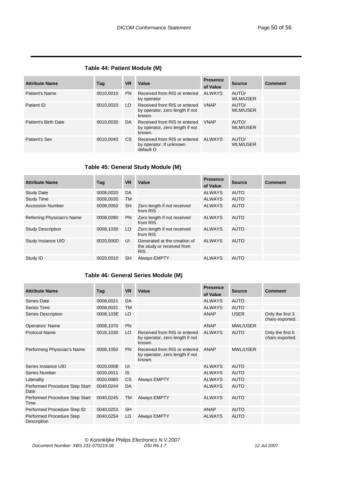#### **Table 44: Patient Module (M)**

| <b>Attribute Name</b> | Tag       | <b>VR</b> | Value                                                                     | <b>Presence</b><br>of Value | <b>Source</b>     | <b>Comment</b> |
|-----------------------|-----------|-----------|---------------------------------------------------------------------------|-----------------------------|-------------------|----------------|
| Patient's Name        | 0010.0010 | <b>PN</b> | Received from RIS or entered<br>by operator                               | ALWAYS                      | AUTO/<br>WLM/USER |                |
| Patient ID            | 0010.0020 | LO.       | Received from RIS or entered<br>by operator, zero length if not<br>knwon. | <b>VNAP</b>                 | AUTO/<br>WLM/USER |                |
| Patient's Birth Date  | 0010.0030 | DA.       | Received from RIS or entered<br>by operator, zero length if not<br>known. | <b>VNAP</b>                 | AUTO/<br>WLM/USER |                |
| Patient's Sex         | 0010.0040 | CS.       | Received from RIS or entered<br>by operator. If unknown<br>default O      | ALWAYS                      | AUTO/<br>WLM/USER |                |

#### **Table 45: General Study Module (M)**

| <b>Attribute Name</b>      | Tag       | <b>VR</b> | Value                                                                    | <b>Presence</b><br>of Value | <b>Source</b> | <b>Comment</b> |
|----------------------------|-----------|-----------|--------------------------------------------------------------------------|-----------------------------|---------------|----------------|
| <b>Study Date</b>          | 0008,0020 | DA        |                                                                          | <b>ALWAYS</b>               | <b>AUTO</b>   |                |
| <b>Study Time</b>          | 0008.0030 | TM        |                                                                          | <b>ALWAYS</b>               | <b>AUTO</b>   |                |
| <b>Accession Number</b>    | 0008,0050 | <b>SH</b> | Zero length if not received<br>from RIS                                  | <b>ALWAYS</b>               | <b>AUTO</b>   |                |
| Referring Physician's Name | 0008.0090 | <b>PN</b> | Zero length if not received<br>from RIS                                  | ALWAYS                      | <b>AUTO</b>   |                |
| <b>Study Description</b>   | 0008.1030 | LO        | Zero length if not received<br>from RIS                                  | <b>ALWAYS</b>               | <b>AUTO</b>   |                |
| Study Instance UID         | 0020.000D | UI        | Generated at the creation of<br>the study or received from<br><b>RIS</b> | <b>ALWAYS</b>               | <b>AUTO</b>   |                |
| Study ID                   | 0020.0010 | <b>SH</b> | <b>Always EMPTY</b>                                                      | <b>ALWAYS</b>               | <b>AUTO</b>   |                |

#### **Table 46: General Series Module (M)**

| <b>Attribute Name</b>                   | Tag       | <b>VR</b> | Value                                                                     | <b>Presence</b> | <b>Source</b>   | <b>Comment</b>                      |
|-----------------------------------------|-----------|-----------|---------------------------------------------------------------------------|-----------------|-----------------|-------------------------------------|
|                                         |           |           |                                                                           | of Value        |                 |                                     |
| Series Date                             | 0008,0021 | DA        |                                                                           | <b>ALWAYS</b>   | <b>AUTO</b>     |                                     |
| Series Time                             | 0008,0031 | <b>TM</b> |                                                                           | <b>ALWAYS</b>   | <b>AUTO</b>     |                                     |
| <b>Series Description</b>               | 0008,103E | LO        |                                                                           | ANAP            | <b>USER</b>     | Only the first 3<br>chars exported. |
| Operators' Name                         | 0008,1070 | <b>PN</b> |                                                                           | <b>ANAP</b>     | <b>MWL/USER</b> |                                     |
| <b>Protocol Name</b>                    | 0018,1030 | LO        | Received from RIS or entered<br>by operator, zero length if not<br>known. | <b>ALWAYS</b>   | <b>AUTO</b>     | Only the first 6<br>chars exported. |
| Performing Physician's Name             | 0008,1050 | <b>PN</b> | Received from RIS or entered<br>by operator, zero length if not<br>known. | ANAP            | <b>MWL/USER</b> |                                     |
| Series Instance UID                     | 0020,000E | UI        |                                                                           | <b>ALWAYS</b>   | <b>AUTO</b>     |                                     |
| Series Number                           | 0020,0011 | <b>IS</b> |                                                                           | <b>ALWAYS</b>   | <b>AUTO</b>     |                                     |
| Laterality                              | 0020,0060 | <b>CS</b> | Always EMPTY                                                              | <b>ALWAYS</b>   | <b>AUTO</b>     |                                     |
| Performed Procedure Step Start<br>Date  | 0040,0244 | <b>DA</b> |                                                                           | <b>ALWAYS</b>   | <b>AUTO</b>     |                                     |
| Performed Procedure Step Start<br>Time  | 0040,0245 | TM        | <b>Always EMPTY</b>                                                       | <b>ALWAYS</b>   | <b>AUTO</b>     |                                     |
| Performed Procedure Step ID             | 0040,0253 | <b>SH</b> |                                                                           | <b>ANAP</b>     | <b>AUTO</b>     |                                     |
| Performed Procedure Step<br>Description | 0040,0254 | LO        | <b>Always EMPTY</b>                                                       | <b>ALWAYS</b>   | <b>AUTO</b>     |                                     |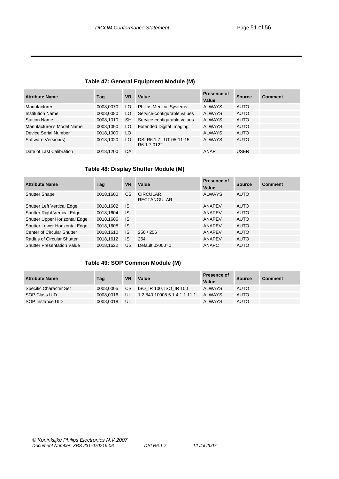#### **Table 47: General Equipment Module (M)**

| <b>Attribute Name</b>     | Taq       | <b>VR</b> | Value                                  | Presence of<br>Value | <b>Source</b> | <b>Comment</b> |
|---------------------------|-----------|-----------|----------------------------------------|----------------------|---------------|----------------|
| Manufacturer              | 0008,0070 | LO.       | <b>Philips Medical Systems</b>         | <b>ALWAYS</b>        | <b>AUTO</b>   |                |
| <b>Institution Name</b>   | 0008,0080 | LO.       | Service-configurable values            | <b>ALWAYS</b>        | <b>AUTO</b>   |                |
| <b>Station Name</b>       | 0008,1010 | <b>SH</b> | Service-configurable values            | <b>ALWAYS</b>        | <b>AUTO</b>   |                |
| Manufacturer's Model Name | 0008,1090 | LO        | <b>Extended Digital Imaging</b>        | <b>ALWAYS</b>        | <b>AUTO</b>   |                |
| Device Serial Number      | 0018,1000 | LO        |                                        | <b>ALWAYS</b>        | <b>AUTO</b>   |                |
| Software Version(s)       | 0018,1020 | LO        | DSI R6.1.7 LUT 05-11-15<br>R6.1.7.0122 | <b>ALWAYS</b>        | <b>AUTO</b>   |                |
| Date of Last Calibration  | 0018.1200 | DA        |                                        | ANAP                 | <b>USER</b>   |                |

#### **Table 48: Display Shutter Module (M)**

| <b>Attribute Name</b>              | Tag       | <b>VR</b> | Value                     | Presence of<br>Value | <b>Source</b> | <b>Comment</b> |
|------------------------------------|-----------|-----------|---------------------------|----------------------|---------------|----------------|
| <b>Shutter Shape</b>               | 0018,1600 | <b>CS</b> | CIRCULAR,<br>RECTANGULAR, | <b>ALWAYS</b>        | <b>AUTO</b>   |                |
| <b>Shutter Left Vertical Edge</b>  | 0018,1602 | IS.       |                           | <b>ANAPEV</b>        | <b>AUTO</b>   |                |
| <b>Shutter Right Vertical Edge</b> | 0018,1604 | <b>IS</b> |                           | ANAPEV               | <b>AUTO</b>   |                |
| Shutter Upper Horizontal Edge      | 0018,1606 | <b>IS</b> |                           | <b>ANAPEV</b>        | <b>AUTO</b>   |                |
| Shutter Lower Horizontal Edge      | 0018,1608 | <b>IS</b> |                           | ANAPEV               | <b>AUTO</b>   |                |
| Center of Circular Shutter         | 0018,1610 | IS.       | 256/256                   | ANAPEV               | <b>AUTO</b>   |                |
| <b>Radius of Circular Shutter</b>  | 0018.1612 | <b>IS</b> | 254                       | <b>ANAPEV</b>        | <b>AUTO</b>   |                |
| <b>Shutter Presentation Value</b>  | 0018.1622 | US        | Default 0x000=0           | <b>ANAPC</b>         | <b>AUTO</b>   |                |

#### **Table 49: SOP Common Module (M)**

| <b>Attribute Name</b>  | Tag       | VR  | Value                        | <b>Presence of</b><br>Value | <b>Source</b> | <b>Comment</b> |
|------------------------|-----------|-----|------------------------------|-----------------------------|---------------|----------------|
| Specific Character Set | 0008.0005 | CS. | ISO IR 100, ISO IR 100       | ALWAYS                      | <b>AUTO</b>   |                |
| SOP Class UID          | 0008.0016 | UI  | 1.2.840.10008.5.1.4.1.1.11.1 | <b>ALWAYS</b>               | <b>AUTO</b>   |                |
| SOP Instance UID       | 0008.0018 | UI  |                              | <b>ALWAYS</b>               | <b>AUTO</b>   |                |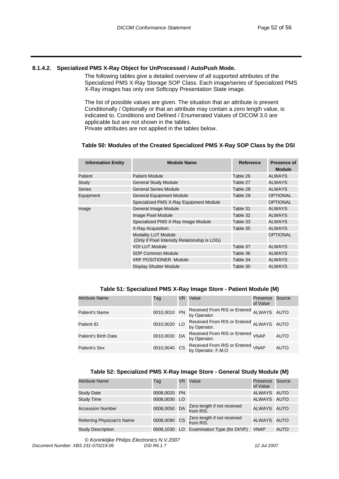#### **8.1.4.2. Specialized PMS X-Ray Object for UnProcessed / AutoPush Mode.**

The following tables give a detailed overview of all supported attributes of the Specialized PMS X-Ray Storage SOP Class. Each image/series of Specialized PMS X-Ray images has only one Softcopy Presentation State image.

The list of possible values are given. The situation that an attribute is present Conditionally / Optionally or that an attribute may contain a zero length value, is indicated to. Conditions and Defined / Enumerated Values of DICOM 3.0 are applicable but are not shown in the tables.

Private attributes are not applied in the tables below.

#### **Table 50: Modules of the Created Specialized PMS X-Ray SOP Class by the DSI**

| <b>Module Name</b>                                                          | Reference | <b>Presence of</b><br><b>Module</b> |
|-----------------------------------------------------------------------------|-----------|-------------------------------------|
| <b>Patient Module</b>                                                       | Table 26  | <b>ALWAYS</b>                       |
| <b>General Study Module</b>                                                 | Table 27  | <b>ALWAYS</b>                       |
| <b>General Series Module</b>                                                | Table 28  | <b>ALWAYS</b>                       |
| <b>General Equipment Module</b>                                             | Table 29  | <b>OPTIONAL</b>                     |
| Specialized PMS X-Ray Equipment Module                                      |           | <b>OPTIONAL</b>                     |
| General Image Module                                                        | Table 31  | <b>ALWAYS</b>                       |
| Image Pixel Module                                                          | Table 32  | <b>ALWAYS</b>                       |
| Specialized PMS X-Ray Image Module                                          | Table 33  | <b>ALWAYS</b>                       |
| X-Ray Acquisition                                                           | Table 35  | <b>ALWAYS</b>                       |
| <b>Modality LUT Module</b><br>(Only if Pixel Intensity Relationship is LOG) |           | <b>OPTIONAL</b>                     |
| <b>VOI LUT Module</b>                                                       | Table 37  | <b>ALWAYS</b>                       |
| <b>SOP Common Module</b>                                                    | Table 36  | <b>ALWAYS</b>                       |
| <b>XRF POSITIONER Module</b>                                                | Table 34  | <b>ALWAYS</b>                       |
| Display Shutter Module                                                      | Table 30  | <b>ALWAYS</b>                       |
|                                                                             |           |                                     |

#### **Table 51: Specialized PMS X-Ray Image Store - Patient Module (M)**

| <b>Attribute Name</b> | Tag          | VR. | Value                                                        | Presence<br>of Value | Source      |
|-----------------------|--------------|-----|--------------------------------------------------------------|----------------------|-------------|
| <b>Patient's Name</b> | 0010,0010 PN |     | Received From RIS or Entered ALWAYS AUTO<br>by Operator.     |                      |             |
| Patient ID            | 0010,0020 LO |     | Received From RIS or Entered ALWAYS AUTO<br>by Operator.     |                      |             |
| Patient's Birth Date  | 0010,0030 DA |     | Received From RIS or Entered <sub>VNAP</sub><br>by Operator. |                      | <b>AUTO</b> |
| <b>Patient's Sex</b>  | 0010,0040 CS |     | Received From RIS or Entered VNAP<br>by Operator. F,M,O      |                      | <b>AUTO</b> |

#### **Table 52: Specialized PMS X-Ray Image Store - General Study Module (M)**

| <b>Attribute Name</b>      | Tag          | VR. | Value                                    | Presence<br>of Value | Source |
|----------------------------|--------------|-----|------------------------------------------|----------------------|--------|
| Study Date                 | 0008,0020 PN |     |                                          | ALWAYS AUTO          |        |
| <b>Study Time</b>          | 0008,0030 LO |     |                                          | ALWAYS AUTO          |        |
| <b>Accession Number</b>    | 0008,0050 DA |     | Zero length if not received<br>from RIS. | ALWAYS AUTO          |        |
| Referring Physician's Name | 0008,0090 CS |     | Zero length if not received<br>from RIS. | ALWAYS AUTO          |        |
| <b>Study Description</b>   | 0008.1030    |     | LO Examination Type (for DI/VF)          | <b>VNAP</b>          | AUTO   |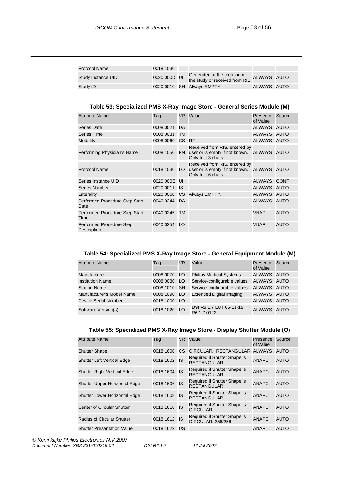| Protocol Name      | 0018.1030    |                                             |             |  |
|--------------------|--------------|---------------------------------------------|-------------|--|
| Study Instance UID | 0020,000D UI | the study or received from RIS. ALWAYS AUTO |             |  |
| Study ID           |              | 0020,0010 SH Always EMPTY                   | ALWAYS AUTO |  |

#### **Table 53: Specialized PMS X-Ray Image Store - General Series Module (M)**

| <b>Attribute Name</b>                   | Tag          |           | VR Value                                                                                           | Presence<br>of Value | Source      |
|-----------------------------------------|--------------|-----------|----------------------------------------------------------------------------------------------------|----------------------|-------------|
| <b>Series Date</b>                      | 0008,0021    | DA        |                                                                                                    | ALWAYS AUTO          |             |
| <b>Series Time</b>                      | 0008,0031    | TM        |                                                                                                    | ALWAYS AUTO          |             |
| Modality                                | 0008,0060    | CS RF     |                                                                                                    | ALWAYS AUTO          |             |
| Performing Physician's Name             | 0008,1050    | <b>PN</b> | Received from RIS, entered by<br>user or is empty if not known. ALWAYS AUTO<br>Only frist 3 chars. |                      |             |
| <b>Protocol Name</b>                    | 0018,1030 LO |           | Received from RIS, entered by<br>user or is empty if not known. ALWAYS AUTO<br>Only frist 6 chars. |                      |             |
| Series Instance UID                     | 0020,000E UI |           |                                                                                                    | ALWAYS CONF          |             |
| <b>Series Number</b>                    | 0020,0011    | <b>IS</b> |                                                                                                    | ALWAYS AUTO          |             |
| Laterality                              |              |           | 0020,0060 CS Always EMPTY.                                                                         | ALWAYS AUTO          |             |
| Performed Procedure Step Start<br>Date  | 0040,0244 DA |           |                                                                                                    | ALWAYS AUTO          |             |
| Performed Procedure Step Start<br>Time  | 0040,0245    | <b>TM</b> |                                                                                                    | <b>VNAP</b>          | <b>AUTO</b> |
| Performed Procedure Step<br>Description | 0040,0254    | LO        |                                                                                                    | <b>VNAP</b>          | <b>AUTO</b> |

#### **Table 54: Specialized PMS X-Ray Image Store - General Equipment Module (M)**

| <b>Attribute Name</b>       | Tag          | <b>VR</b>       | Value                                  | Presence<br>of Value | Source      |
|-----------------------------|--------------|-----------------|----------------------------------------|----------------------|-------------|
| Manufacturer                | 0008,0070 LO |                 | <b>Philips Medical Systems</b>         | <b>ALWAYS</b>        | <b>AUTO</b> |
| <b>Institution Name</b>     | 0008,0080    | LO <sub>1</sub> | Service-configurable values            | ALWAYS AUTO          |             |
| <b>Station Name</b>         | 0008,1010 SH |                 | Service-configurable values            | <b>ALWAYS</b>        | AUTO        |
| Manufacturer's Model Name   | 0008,1090 LO |                 | <b>Extended Digital Imaging</b>        | ALWAYS AUTO          |             |
| <b>Device Serial Number</b> | 0018,1000 LO |                 |                                        | ALWAYS AUTO          |             |
| Software Version(s)         | 0018,1020    | LO <sub>1</sub> | DSI R6.1.7 LUT 05-11-15<br>R6.1.7.0122 | ALWAYS               | <b>AUTO</b> |

#### **Table 55: Specialized PMS X-Ray Image Store - Display Shutter Module (O)**

| <b>Attribute Name</b>                | Tag          | VR. | Value                                                    | Presence<br>of Value | Source      |
|--------------------------------------|--------------|-----|----------------------------------------------------------|----------------------|-------------|
| <b>Shutter Shape</b>                 | 0018,1600    | СS  | CIRCULAR, RECTANGULAR ALWAYS                             |                      | <b>AUTO</b> |
| <b>Shutter Left Vertical Edge</b>    | 0018,1602 IS |     | Required if Shutter Shape is<br>RECTANGULAR.             | <b>ANAPC</b>         | <b>AUTO</b> |
| <b>Shutter Right Vertical Edge</b>   | 0018,1604    | IS  | Required if Shutter Shape is<br>RECTANGULAR.             | <b>ANAPC</b>         | AUTO        |
| Shutter Upper Horizontal Edge        | 0018,1606 IS |     | Required if Shutter Shape is<br>RECTANGULAR.             | <b>ANAPC</b>         | AUTO        |
| <b>Shutter Lower Horizontal Edge</b> | 0018,1608    | IS  | Required if Shutter Shape is<br>RECTANGULAR.             | <b>ANAPC</b>         | <b>AUTO</b> |
| <b>Center of Circular Shutter</b>    | 0018,1610 IS |     | Required if Shutter Shape is<br>CIRCULAR.                | <b>ANAPC</b>         | AUTO        |
| <b>Radius of Circular Shutter</b>    | 0018,1612 IS |     | Required if Shutter Shape is<br><b>CIRCULAR. 256/256</b> | <b>ANAPC</b>         | <b>AUTO</b> |
| <b>Shutter Presentation Value</b>    | 0018.1622    | US  |                                                          | <b>ANAP</b>          | <b>AUTO</b> |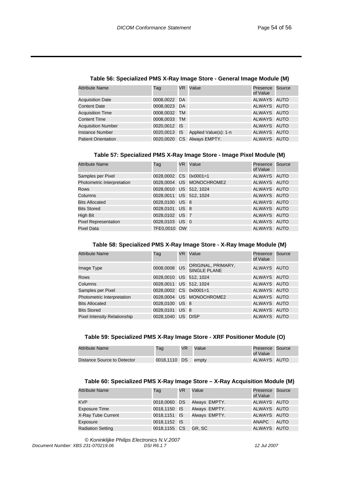| <b>Attribute Name</b>      | Tag          | VR. | Value                              | Presence Source<br>of Value |  |
|----------------------------|--------------|-----|------------------------------------|-----------------------------|--|
| <b>Acquisition Date</b>    | 0008,0022 DA |     |                                    | ALWAYS AUTO                 |  |
| <b>Content Date</b>        | 0008,0023 DA |     |                                    | ALWAYS AUTO                 |  |
| <b>Acquisition Time</b>    | 0008,0032 TM |     |                                    | ALWAYS AUTO                 |  |
| <b>Content Time</b>        | 0008,0033 TM |     |                                    | ALWAYS AUTO                 |  |
| <b>Acquisition Number</b>  | 0020,0012 IS |     |                                    | ALWAYS AUTO                 |  |
| <b>Instance Number</b>     |              |     | 0020,0013 IS Applied Value(s): 1-n | ALWAYS AUTO                 |  |
| <b>Patient Orientation</b> |              |     | 0020,0020 CS Always EMPTY.         | ALWAYS AUTO                 |  |

#### **Table 56: Specialized PMS X-Ray Image Store - General Image Module (M)**

#### **Table 57: Specialized PMS X-Ray Image Store - Image Pixel Module (M)**

| <b>Attribute Name</b>       | Tag                    | VR Value                 | Presence<br>of Value | Source |
|-----------------------------|------------------------|--------------------------|----------------------|--------|
| Samples per Pixel           | 0028.0002 CS 0x0001=1  |                          | ALWAYS AUTO          |        |
| Photometric Interpretation  |                        | 0028.0004 US MONOCHROME2 | ALWAYS AUTO          |        |
| <b>Rows</b>                 | 0028,0010 US 512, 1024 |                          | ALWAYS AUTO          |        |
| Columns                     | 0028,0011 US 512, 1024 |                          | ALWAYS AUTO          |        |
| <b>Bits Allocated</b>       | 0028,0100 US 8         |                          | ALWAYS AUTO          |        |
| <b>Bits Stored</b>          | 0028,0101 US 8         |                          | ALWAYS AUTO          |        |
| High Bit                    | 0028,0102 US 7         |                          | ALWAYS AUTO          |        |
| <b>Pixel Representation</b> | 0028,0103 US 0         |                          | ALWAYS AUTO          |        |
| <b>Pixel Data</b>           | 7FE0,0010 OW           |                          | ALWAYS AUTO          |        |

#### **Table 58: Specialized PMS X-Ray Image Store - X-Ray Image Module (M)**

| <b>Attribute Name</b>               | Tag                    |                 | VR Value                                  | Presence Source<br>of Value |  |
|-------------------------------------|------------------------|-----------------|-------------------------------------------|-----------------------------|--|
| Image Type                          | 0008,0008 US           |                 | ORIGINAL, PRIMARY,<br><b>SINGLE PLANE</b> | ALWAYS AUTO                 |  |
| <b>Rows</b>                         | 0028,0010 US 512, 1024 |                 |                                           | ALWAYS AUTO                 |  |
| Columns                             | 0028,0011 US 512, 1024 |                 |                                           | ALWAYS AUTO                 |  |
| Samples per Pixel                   | 0028.0002 CS 0x0001=1  |                 |                                           | ALWAYS AUTO                 |  |
| Photometric Interpretation          |                        |                 | 0028.0004 US MONOCHROME2                  | ALWAYS AUTO                 |  |
| <b>Bits Allocated</b>               | 0028,0100 US 8         |                 |                                           | ALWAYS AUTO                 |  |
| <b>Bits Stored</b>                  | 0028.0101              | US <sub>8</sub> |                                           | ALWAYS AUTO                 |  |
| <b>Pixel Intensity Relationship</b> | 0028.1040              |                 | US DISP                                   | ALWAYS AUTO                 |  |

#### **Table 59: Specialized PMS X-Ray Image Store - XRF Positioner Module (O)**

| <b>Attribute Name</b>       | Tag          | VR. | Value | Presence Source<br>of Value |  |
|-----------------------------|--------------|-----|-------|-----------------------------|--|
| Distance Source to Detector | 0018,1110 DS |     | empty | ALWAYS AUTO                 |  |

#### **Table 60: Specialized PMS X-Ray Image Store – X-Ray Acquisition Module (M)**

| <b>Attribute Name</b>    | Tag          | VR. | Value                      | Presence Source<br>of Value |             |
|--------------------------|--------------|-----|----------------------------|-----------------------------|-------------|
| <b>KVP</b>               | 0018,0060 DS |     | Always EMPTY.              | ALWAYS AUTO                 |             |
| <b>Exposure Time</b>     |              |     | 0018,1150 IS Always EMPTY. | ALWAYS AUTO                 |             |
| X-Ray Tube Current       |              |     | 0018,1151 IS Always EMPTY. | ALWAYS AUTO                 |             |
| Exposure                 | 0018,1152 IS |     |                            | ANAPC                       | <b>AUTO</b> |
| <b>Radiation Setting</b> | 0018,1155 CS |     | GR. SC                     | ALWAYS AUTO                 |             |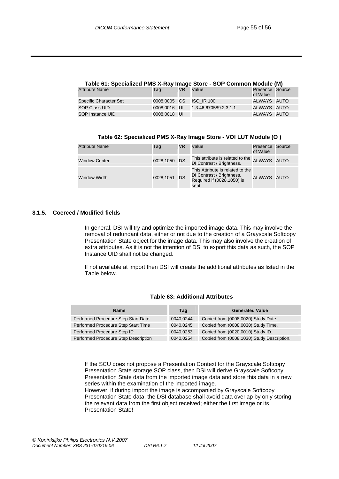| Table 61: Specialized PMS X-Ray Image Store - SOP Common Module (M) |              |     |                       |                             |  |  |
|---------------------------------------------------------------------|--------------|-----|-----------------------|-----------------------------|--|--|
| <b>Attribute Name</b>                                               | Taq          | VR. | Value                 | Presence Source<br>of Value |  |  |
| <b>Specific Character Set</b>                                       | 0008,0005 CS |     | <b>ISO IR 100</b>     | ALWAYS AUTO                 |  |  |
| <b>SOP Class UID</b>                                                | 0008.0016 UI |     | 1.3.46.670589.2.3.1.1 | ALWAYS AUTO                 |  |  |
| SOP Instance UID                                                    | 0008,0018 UI |     |                       | ALWAYS AUTO                 |  |  |

| Table 61: Specialized PMS X-Ray Image Store - SOP Common Module (M) |  |  |  |
|---------------------------------------------------------------------|--|--|--|
|                                                                     |  |  |  |

| Table 62: Specialized PMS X-Ray Image Store - VOI LUT Module (O) |  |
|------------------------------------------------------------------|--|
|------------------------------------------------------------------|--|

| <b>Attribute Name</b> | Tag          | VR | Value                                                                                               | Presence<br>of Value | Source |
|-----------------------|--------------|----|-----------------------------------------------------------------------------------------------------|----------------------|--------|
| <b>Window Center</b>  | 0028,1050 DS |    | This attribute is related to the<br>DI Contrast / Brightness.                                       | ALWAYS AUTO          |        |
| Window Width          | 0028,1051 DS |    | This Attribute is related to the<br>DI Contrast / Brightness.<br>Required if (0028,1050) is<br>sent | ALWAYS AUTO          |        |

#### **8.1.5. Coerced / Modified fields**

In general, DSI will try and optimize the imported image data. This may involve the removal of redundant data, either or not due to the creation of a Grayscale Softcopy Presentation State object for the image data. This may also involve the creation of extra attributes. As it is not the intention of DSI to export this data as such, the SOP Instance UID shall not be changed.

If not available at import then DSI will create the additional attributes as listed in the Table below.

| <b>Name</b>                          | Taq       | <b>Generated Value</b>                     |
|--------------------------------------|-----------|--------------------------------------------|
| Performed Procedure Step Start Date  | 0040.0244 | Copied from (0008,0020) Study Date.        |
| Performed Procedure Step Start Time  | 0040.0245 | Copied from (0008,0030) Study Time.        |
| Performed Procedure Step ID          | 0040.0253 | Copied from (0020,0010) Study ID.          |
| Performed Procedure Step Description | 0040,0254 | Copied from (0008,1030) Study Description. |

#### **Table 63: Additional Attributes**

If the SCU does not propose a Presentation Context for the Grayscale Softcopy Presentation State storage SOP class, then DSI will derive Grayscale Softcopy Presentation State data from the imported image data and store this data in a new series within the examination of the imported image.

However, if during import the image is accompanied by Grayscale Softcopy Presentation State data, the DSI database shall avoid data overlap by only storing the relevant data from the first object received; either the first image or its Presentation State!